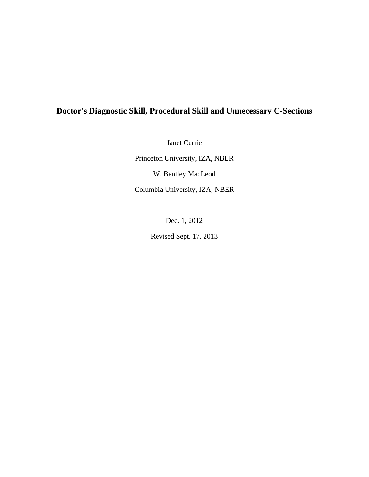# **Doctor's Diagnostic Skill, Procedural Skill and Unnecessary C-Sections**

Janet Currie

Princeton University, IZA, NBER W. Bentley MacLeod Columbia University, IZA, NBER

Dec. 1, 2012

Revised Sept. 17, 2013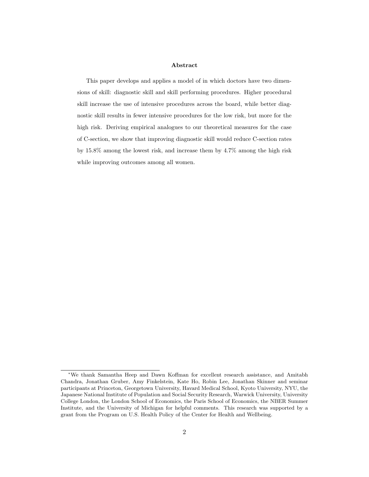#### Abstract

This paper develops and applies a model of in which doctors have two dimensions of skill: diagnostic skill and skill performing procedures. Higher procedural skill increase the use of intensive procedures across the board, while better diagnostic skill results in fewer intensive procedures for the low risk, but more for the high risk. Deriving empirical analogues to our theoretical measures for the case of C-section, we show that improving diagnostic skill would reduce C-section rates by 15.8% among the lowest risk, and increase them by 4.7% among the high risk while improving outcomes among all women.

<sup>∗</sup>We thank Samantha Heep and Dawn Koffman for excellent research assistance, and Amitabh Chandra, Jonathan Gruber, Amy Finkelstein, Kate Ho, Robin Lee, Jonathan Skinner and seminar participants at Princeton, Georgetown University, Havard Medical School, Kyoto University, NYU, the Japanese National Institute of Population and Social Security Research, Warwick University, University College London, the London School of Economics, the Paris School of Economics, the NBER Summer Institute, and the University of Michigan for helpful comments. This research was supported by a grant from the Program on U.S. Health Policy of the Center for Health and Wellbeing.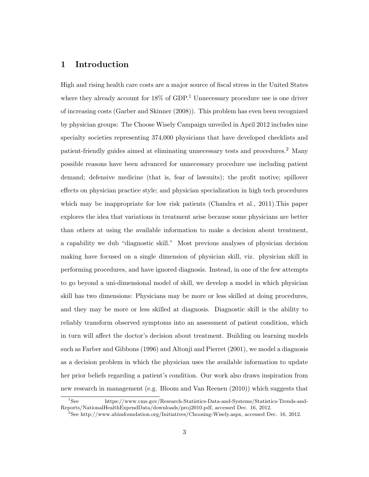### 1 Introduction

High and rising health care costs are a major source of fiscal stress in the United States where they already account for  $18\%$  of GDP.<sup>1</sup> Unnecessary procedure use is one driver of increasing costs (Garber and Skinner (2008)). This problem has even been recognized by physician groups: The Choose Wisely Campaign unveiled in April 2012 includes nine specialty societies representing 374,000 physicians that have developed checklists and patient-friendly guides aimed at eliminating unnecessary tests and procedures.<sup>2</sup> Many possible reasons have been advanced for unnecessary procedure use including patient demand; defensive medicine (that is, fear of lawsuits); the profit motive; spillover effects on physician practice style; and physician specialization in high tech procedures which may be inappropriate for low risk patients (Chandra et al., 2011). This paper explores the idea that variations in treatment arise because some physicians are better than others at using the available information to make a decision about treatment, a capability we dub "diagnostic skill." Most previous analyses of physician decision making have focused on a single dimension of physician skill, viz. physician skill in performing procedures, and have ignored diagnosis. Instead, in one of the few attempts to go beyond a uni-dimensional model of skill, we develop a model in which physician skill has two dimensions: Physicians may be more or less skilled at doing procedures, and they may be more or less skilled at diagnosis. Diagnostic skill is the ability to reliably transform observed symptoms into an assessment of patient condition, which in turn will affect the doctor's decision about treatment. Building on learning models such as Farber and Gibbons (1996) and Altonji and Pierret (2001), we model a diagnosis as a decision problem in which the physician uses the available information to update her prior beliefs regarding a patient's condition. Our work also draws inspiration from new research in management (e.g. Bloom and Van Reenen (2010)) which suggests that

<sup>1</sup>See https://www.cms.gov/Research-Statistics-Data-and-Systems/Statistics-Trends-and-Reports/NationalHealthExpendData/downloads/proj2010.pdf, accessed Dec. 16, 2012.

<sup>2</sup>See http://www.abimfoundation.org/Initiatives/Choosing-Wisely.aspx, accessed Dec. 16, 2012.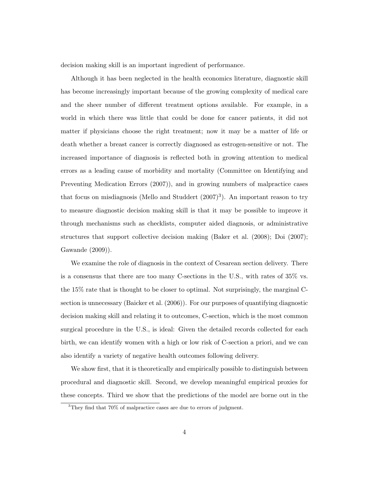decision making skill is an important ingredient of performance.

Although it has been neglected in the health economics literature, diagnostic skill has become increasingly important because of the growing complexity of medical care and the sheer number of different treatment options available. For example, in a world in which there was little that could be done for cancer patients, it did not matter if physicians choose the right treatment; now it may be a matter of life or death whether a breast cancer is correctly diagnosed as estrogen-sensitive or not. The increased importance of diagnosis is reflected both in growing attention to medical errors as a leading cause of morbidity and mortality (Committee on Identifying and Preventing Medication Errors (2007)), and in growing numbers of malpractice cases that focus on misdiagnosis (Mello and Studdert  $(2007)^3$ ). An important reason to try to measure diagnostic decision making skill is that it may be possible to improve it through mechanisms such as checklists, computer aided diagnosis, or administrative structures that support collective decision making (Baker et al. (2008); Doi (2007); Gawande (2009)).

We examine the role of diagnosis in the context of Cesarean section delivery. There is a consensus that there are too many C-sections in the U.S., with rates of 35% vs. the 15% rate that is thought to be closer to optimal. Not surprisingly, the marginal Csection is unnecessary (Baicker et al. (2006)). For our purposes of quantifying diagnostic decision making skill and relating it to outcomes, C-section, which is the most common surgical procedure in the U.S., is ideal: Given the detailed records collected for each birth, we can identify women with a high or low risk of C-section a priori, and we can also identify a variety of negative health outcomes following delivery.

We show first, that it is theoretically and empirically possible to distinguish between procedural and diagnostic skill. Second, we develop meaningful empirical proxies for these concepts. Third we show that the predictions of the model are borne out in the

<sup>3</sup>They find that 70% of malpractice cases are due to errors of judgment.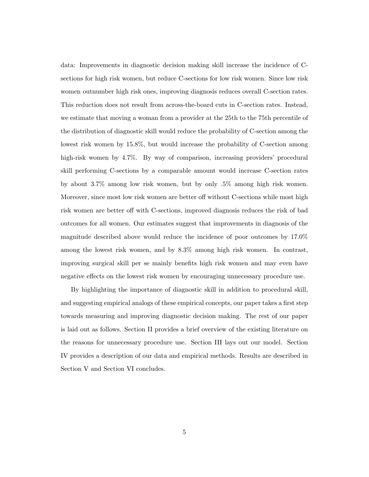data: Improvements in diagnostic decision making skill increase the incidence of Csections for high risk women, but reduce C-sections for low risk women. Since low risk women outnumber high risk ones, improving diagnosis reduces overall C-section rates. This reduction does not result from across-the-board cuts in C-section rates. Instead, we estimate that moving a woman from a provider at the 25th to the 75th percentile of the distribution of diagnostic skill would reduce the probability of C-section among the lowest risk women by 15.8%, but would increase the probability of C-section among high-risk women by 4.7%. By way of comparison, increasing providers' procedural skill performing C-sections by a comparable amount would increase C-section rates by about 3.7% among low risk women, but by only .5% among high risk women. Moreover, since most low risk women are better off without C-sections while most high risk women are better off with C-sections, improved diagnosis reduces the risk of bad outcomes for all women. Our estimates suggest that improvements in diagnosis of the magnitude described above would reduce the incidence of poor outcomes by 17.0% among the lowest risk women, and by 8.3% among high risk women. In contrast, improving surgical skill per se mainly benefits high risk women and may even have negative effects on the lowest risk women by encouraging unnecessary procedure use.

By highlighting the importance of diagnostic skill in addition to procedural skill, and suggesting empirical analogs of these empirical concepts, our paper takes a first step towards measuring and improving diagnostic decision making. The rest of our paper is laid out as follows. Section II provides a brief overview of the existing literature on the reasons for unnecessary procedure use. Section III lays out our model. Section IV provides a description of our data and empirical methods. Results are described in Section V and Section VI concludes.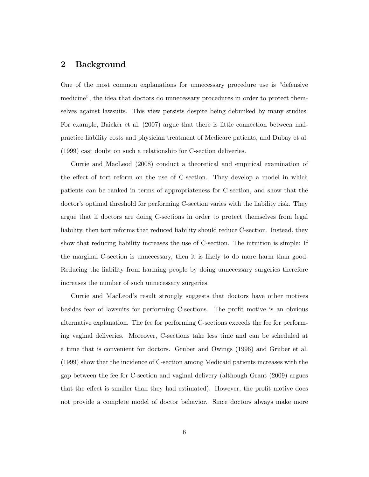### 2 Background

One of the most common explanations for unnecessary procedure use is "defensive medicine", the idea that doctors do unnecessary procedures in order to protect themselves against lawsuits. This view persists despite being debunked by many studies. For example, Baicker et al. (2007) argue that there is little connection between malpractice liability costs and physician treatment of Medicare patients, and Dubay et al. (1999) cast doubt on such a relationship for C-section deliveries.

Currie and MacLeod (2008) conduct a theoretical and empirical examination of the effect of tort reform on the use of C-section. They develop a model in which patients can be ranked in terms of appropriateness for C-section, and show that the doctor's optimal threshold for performing C-section varies with the liability risk. They argue that if doctors are doing C-sections in order to protect themselves from legal liability, then tort reforms that reduced liability should reduce C-section. Instead, they show that reducing liability increases the use of C-section. The intuition is simple: If the marginal C-section is unnecessary, then it is likely to do more harm than good. Reducing the liability from harming people by doing unnecessary surgeries therefore increases the number of such unnecessary surgeries.

Currie and MacLeod's result strongly suggests that doctors have other motives besides fear of lawsuits for performing C-sections. The profit motive is an obvious alternative explanation. The fee for performing C-sections exceeds the fee for performing vaginal deliveries. Moreover, C-sections take less time and can be scheduled at a time that is convenient for doctors. Gruber and Owings (1996) and Gruber et al. (1999) show that the incidence of C-section among Medicaid patients increases with the gap between the fee for C-section and vaginal delivery (although Grant (2009) argues that the effect is smaller than they had estimated). However, the profit motive does not provide a complete model of doctor behavior. Since doctors always make more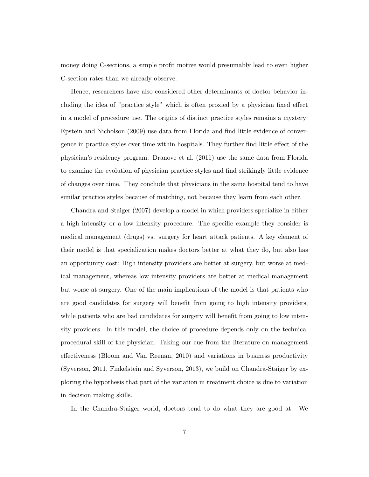money doing C-sections, a simple profit motive would presumably lead to even higher C-section rates than we already observe.

Hence, researchers have also considered other determinants of doctor behavior including the idea of "practice style" which is often proxied by a physician fixed effect in a model of procedure use. The origins of distinct practice styles remains a mystery: Epstein and Nicholson (2009) use data from Florida and find little evidence of convergence in practice styles over time within hospitals. They further find little effect of the physician's residency program. Dranove et al. (2011) use the same data from Florida to examine the evolution of physician practice styles and find strikingly little evidence of changes over time. They conclude that physicians in the same hospital tend to have similar practice styles because of matching, not because they learn from each other.

Chandra and Staiger (2007) develop a model in which providers specialize in either a high intensity or a low intensity procedure. The specific example they consider is medical management (drugs) vs. surgery for heart attack patients. A key element of their model is that specialization makes doctors better at what they do, but also has an opportunity cost: High intensity providers are better at surgery, but worse at medical management, whereas low intensity providers are better at medical management but worse at surgery. One of the main implications of the model is that patients who are good candidates for surgery will benefit from going to high intensity providers, while patients who are bad candidates for surgery will benefit from going to low intensity providers. In this model, the choice of procedure depends only on the technical procedural skill of the physician. Taking our cue from the literature on management effectiveness (Bloom and Van Reenan, 2010) and variations in business productivity (Syverson, 2011, Finkelstein and Syverson, 2013), we build on Chandra-Staiger by exploring the hypothesis that part of the variation in treatment choice is due to variation in decision making skills.

In the Chandra-Staiger world, doctors tend to do what they are good at. We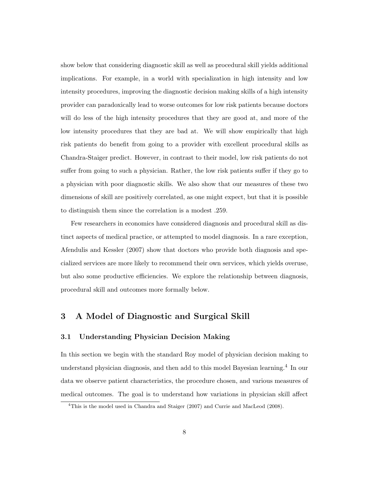show below that considering diagnostic skill as well as procedural skill yields additional implications. For example, in a world with specialization in high intensity and low intensity procedures, improving the diagnostic decision making skills of a high intensity provider can paradoxically lead to worse outcomes for low risk patients because doctors will do less of the high intensity procedures that they are good at, and more of the low intensity procedures that they are bad at. We will show empirically that high risk patients do benefit from going to a provider with excellent procedural skills as Chandra-Staiger predict. However, in contrast to their model, low risk patients do not suffer from going to such a physician. Rather, the low risk patients suffer if they go to a physician with poor diagnostic skills. We also show that our measures of these two dimensions of skill are positively correlated, as one might expect, but that it is possible to distinguish them since the correlation is a modest .259.

Few researchers in economics have considered diagnosis and procedural skill as distinct aspects of medical practice, or attempted to model diagnosis. In a rare exception, Afendulis and Kessler (2007) show that doctors who provide both diagnosis and specialized services are more likely to recommend their own services, which yields overuse, but also some productive efficiencies. We explore the relationship between diagnosis, procedural skill and outcomes more formally below.

## 3 A Model of Diagnostic and Surgical Skill

#### 3.1 Understanding Physician Decision Making

In this section we begin with the standard Roy model of physician decision making to understand physician diagnosis, and then add to this model Bayesian learning.<sup>4</sup> In our data we observe patient characteristics, the procedure chosen, and various measures of medical outcomes. The goal is to understand how variations in physician skill affect

<sup>4</sup>This is the model used in Chandra and Staiger (2007) and Currie and MacLeod (2008).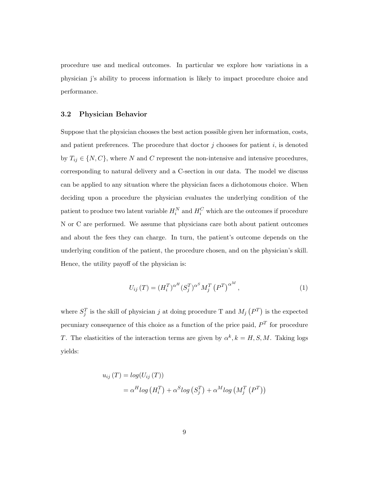procedure use and medical outcomes. In particular we explore how variations in a physician j's ability to process information is likely to impact procedure choice and performance.

#### 3.2 Physician Behavior

Suppose that the physician chooses the best action possible given her information, costs, and patient preferences. The procedure that doctor  $j$  chooses for patient  $i$ , is denoted by  $T_{ij} \in \{N, C\}$ , where N and C represent the non-intensive and intensive procedures, corresponding to natural delivery and a C-section in our data. The model we discuss can be applied to any situation where the physician faces a dichotomous choice. When deciding upon a procedure the physician evaluates the underlying condition of the patient to produce two latent variable  $H_i^N$  and  $H_i^C$  which are the outcomes if procedure N or C are performed. We assume that physicians care both about patient outcomes and about the fees they can charge. In turn, the patient's outcome depends on the underlying condition of the patient, the procedure chosen, and on the physician's skill. Hence, the utility payoff of the physician is:

$$
U_{ij}(T) = (H_i^T)^{\alpha^H} (S_j^T)^{\alpha^S} M_j^T (P^T)^{\alpha^M}, \qquad (1)
$$

where  $S_j^T$  is the skill of physician j at doing procedure T and  $M_j(P^T)$  is the expected pecuniary consequence of this choice as a function of the price paid,  $P<sup>T</sup>$  for procedure T. The elasticities of the interaction terms are given by  $\alpha^k, k = H, S, M$ . Taking logs yields:

$$
u_{ij}(T) = log(U_{ij}(T))
$$
  
=  $\alpha^H log(H_i^T) + \alpha^S log(S_j^T) + \alpha^M log(M_j^T(P^T))$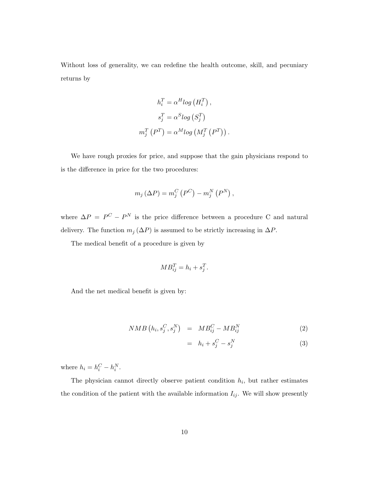Without loss of generality, we can redefine the health outcome, skill, and pecuniary returns by

$$
h_i^T = \alpha^H log (H_i^T),
$$
  
\n
$$
s_j^T = \alpha^S log (S_j^T)
$$
  
\n
$$
m_j^T (P^T) = \alpha^M log (M_j^T (P^T)).
$$

We have rough proxies for price, and suppose that the gain physicians respond to is the difference in price for the two procedures:

$$
m_j\left(\Delta P\right) = m_j^C\left(P^C\right) - m_j^N\left(P^N\right),\,
$$

where  $\Delta P = P^C - P^N$  is the price difference between a procedure C and natural delivery. The function  $m_j(\Delta P)$  is assumed to be strictly increasing in  $\Delta P$ .

The medical benefit of a procedure is given by

$$
MB_{ij}^T = h_i + s_j^T.
$$

And the net medical benefit is given by:

$$
NMB\left(h_i, s_j^C, s_j^N\right) = MB_{ij}^C - MB_{ij}^N\tag{2}
$$

$$
= h_i + s_j^C - s_j^N \tag{3}
$$

where  $h_i = h_i^C - h_i^N$ .

The physician cannot directly observe patient condition  $h_i$ , but rather estimates the condition of the patient with the available information  $I_{ij}$ . We will show presently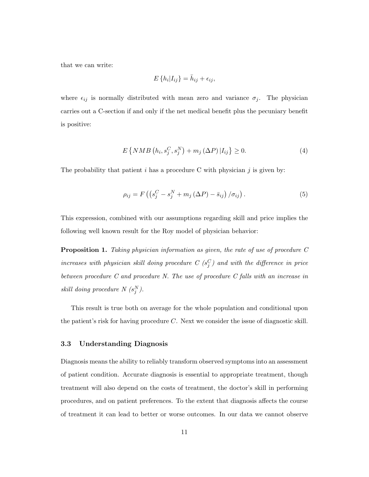that we can write:

$$
E\left\{h_i|I_{ij}\right\} = \bar{h}_{ij} + \epsilon_{ij},
$$

where  $\epsilon_{ij}$  is normally distributed with mean zero and variance  $\sigma_j$ . The physician carries out a C-section if and only if the net medical benefit plus the pecuniary benefit is positive:

$$
E\left\{NMB\left(h_i, s_j^C, s_j^N\right) + m_j\left(\Delta P\right)|I_{ij}\right\} \ge 0. \tag{4}
$$

The probability that patient i has a procedure C with physician j is given by:

$$
\rho_{ij} = F\left(\left(s_j^C - s_j^N + m_j\left(\Delta P\right) - \bar{s}_{ij}\right)/\sigma_{ij}\right). \tag{5}
$$

This expression, combined with our assumptions regarding skill and price implies the following well known result for the Roy model of physician behavior:

Proposition 1. Taking physician information as given, the rate of use of procedure C increases with physician skill doing procedure  $C(s_j^C)$  and with the difference in price between procedure C and procedure N. The use of procedure C falls with an increase in skill doing procedure  $N(s_j^N)$ .

This result is true both on average for the whole population and conditional upon the patient's risk for having procedure C. Next we consider the issue of diagnostic skill.

#### 3.3 Understanding Diagnosis

Diagnosis means the ability to reliably transform observed symptoms into an assessment of patient condition. Accurate diagnosis is essential to appropriate treatment, though treatment will also depend on the costs of treatment, the doctor's skill in performing procedures, and on patient preferences. To the extent that diagnosis affects the course of treatment it can lead to better or worse outcomes. In our data we cannot observe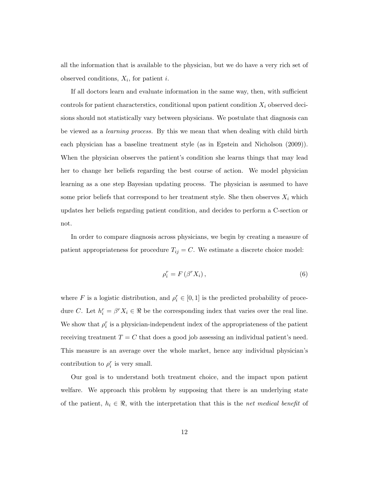all the information that is available to the physician, but we do have a very rich set of observed conditions,  $X_i$ , for patient *i*.

If all doctors learn and evaluate information in the same way, then, with sufficient controls for patient characterstics, conditional upon patient condition  $X_i$  observed decisions should not statistically vary between physicians. We postulate that diagnosis can be viewed as a learning process. By this we mean that when dealing with child birth each physician has a baseline treatment style (as in Epstein and Nicholson (2009)). When the physician observes the patient's condition she learns things that may lead her to change her beliefs regarding the best course of action. We model physician learning as a one step Bayesian updating process. The physician is assumed to have some prior beliefs that correspond to her treatment style. She then observes  $X_i$  which updates her beliefs regarding patient condition, and decides to perform a C-section or not.

In order to compare diagnosis across physicians, we begin by creating a measure of patient appropriateness for procedure  $T_{ij} = C$ . We estimate a discrete choice model:

$$
\rho_i^r = F\left(\beta^r X_i\right),\tag{6}
$$

where F is a logistic distribution, and  $\rho_i^r \in [0,1]$  is the predicted probability of procedure C. Let  $h_i^r = \beta^r X_i \in \Re$  be the corresponding index that varies over the real line. We show that  $\rho_i^r$  is a physician-independent index of the appropriateness of the patient receiving treatment  $T = C$  that does a good job assessing an individual patient's need. This measure is an average over the whole market, hence any individual physician's contribution to  $\rho_i^r$  is very small.

Our goal is to understand both treatment choice, and the impact upon patient welfare. We approach this problem by supposing that there is an underlying state of the patient,  $h_i \in \Re$ , with the interpretation that this is the net medical benefit of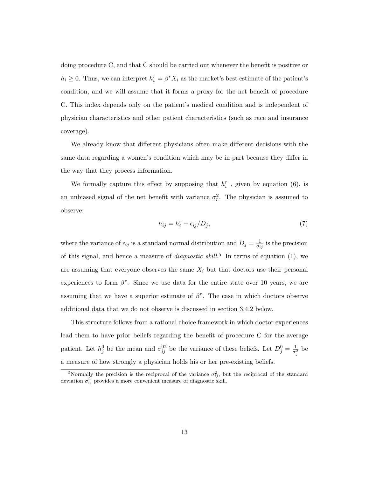doing procedure C, and that C should be carried out whenever the benefit is positive or  $h_i \geq 0$ . Thus, we can interpret  $h_i^r = \beta^r X_i$  as the market's best estimate of the patient's condition, and we will assume that it forms a proxy for the net benefit of procedure C. This index depends only on the patient's medical condition and is independent of physician characteristics and other patient characteristics (such as race and insurance coverage).

We already know that different physicians often make different decisions with the same data regarding a women's condition which may be in part because they differ in the way that they process information.

We formally capture this effect by supposing that  $h_i^r$ , given by equation (6), is an unbiased signal of the net benefit with variance  $\sigma_r^2$ . The physician is assumed to observe:

$$
h_{ij} = h_i^r + \epsilon_{ij}/D_j,\tag{7}
$$

where the variance of  $\epsilon_{ij}$  is a standard normal distribution and  $D_j = \frac{1}{\sigma_i}$  $\frac{1}{\sigma_{ij}}$  is the precision of this signal, and hence a measure of *diagnostic skill*.<sup>5</sup> In terms of equation (1), we are assuming that everyone observes the same  $X_i$  but that doctors use their personal experiences to form  $\beta^r$ . Since we use data for the entire state over 10 years, we are assuming that we have a superior estimate of  $\beta^r$ . The case in which doctors observe additional data that we do not observe is discussed in section 3.4.2 below.

This structure follows from a rational choice framework in which doctor experiences lead them to have prior beliefs regarding the benefit of procedure C for the average patient. Let  $h_j^0$  be the mean and  $\sigma_{ij}^{02}$  be the variance of these beliefs. Let  $D_j^0 = \frac{1}{\sigma^0}$  $\frac{1}{\sigma_j^0}$  be a measure of how strongly a physician holds his or her pre-existing beliefs.

<sup>&</sup>lt;sup>5</sup>Normally the precision is the reciprocal of the variance  $\sigma_{ij}^2$ , but the reciprocal of the standard deviation  $\sigma_{ij}^2$  provides a more convenient measure of diagnostic skill.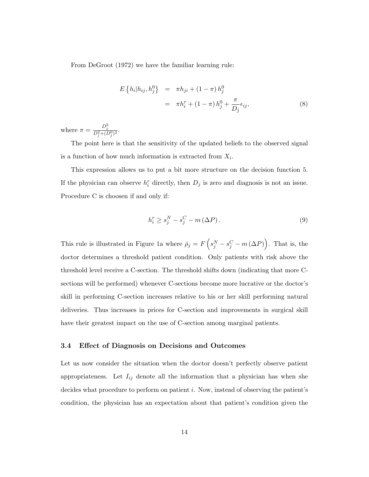From DeGroot (1972) we have the familiar learning rule:

$$
E\left\{h_i|h_{ij},h_j^0\right\} = \pi h_{ji} + (1-\pi)h_j^0
$$
  

$$
= \pi h_i^r + (1-\pi)h_j^0 + \frac{\pi}{D_j}\epsilon_{ij},
$$
 (8)

where  $\pi = \frac{D_j^2}{D_j^2 + (D_j^0)^2}$ .

The point here is that the sensitivity of the updated beliefs to the observed signal is a function of how much information is extracted from  $X_i$ .

This expression allows us to put a bit more structure on the decision function 5. If the physician can observe  $h_i^r$  directly, then  $D_j$  is zero and diagnosis is not an issue. Procedure C is choosen if and only if:

$$
h_i^r \ge s_j^N - s_j^C - m\left(\Delta P\right). \tag{9}
$$

This rule is illustrated in Figure 1a where  $\bar{p}_j = F\left(s_j^N - s_j^C - m\left(\Delta P\right)\right)$ . That is, the doctor determines a threshold patient condition. Only patients with risk above the threshold level receive a C-section. The threshold shifts down (indicating that more Csections will be performed) whenever C-sections become more lucrative or the doctor's skill in performing C-section increases relative to his or her skill performing natural deliveries. Thus increases in prices for C-section and improvements in surgical skill have their greatest impact on the use of C-section among marginal patients.

#### 3.4 Effect of Diagnosis on Decisions and Outcomes

Let us now consider the situation when the doctor doesn't perfectly observe patient appropriateness. Let  $I_{ij}$  denote all the information that a physician has when she decides what procedure to perform on patient  $i$ . Now, instead of observing the patient's condition, the physician has an expectation about that patient's condition given the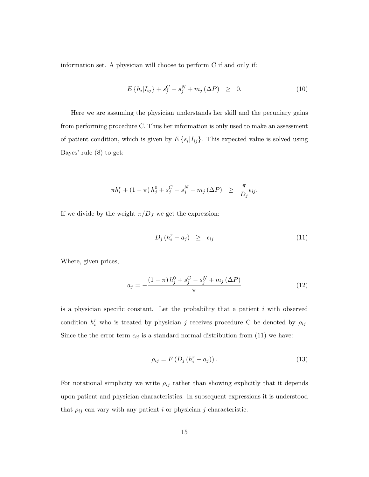information set. A physician will choose to perform C if and only if:

$$
E\{h_i|I_{ij}\} + s_j^C - s_j^N + m_j(\Delta P) \geq 0.
$$
 (10)

Here we are assuming the physician understands her skill and the pecuniary gains from performing procedure C. Thus her information is only used to make an assessment of patient condition, which is given by  $E\{s_i|I_{ij}\}\$ . This expected value is solved using Bayes' rule (8) to get:

$$
\pi h_i^r + (1 - \pi) h_j^0 + s_j^C - s_j^N + m_j \left(\Delta P\right) \ge \frac{\pi}{D_j} \epsilon_{ij}.
$$

If we divide by the weight  $\pi/D_J$  we get the expression:

$$
D_j\left(h_i^r - a_j\right) \geq \epsilon_{ij} \tag{11}
$$

Where, given prices,

$$
a_{j} = -\frac{(1-\pi)h_{j}^{0} + s_{j}^{C} - s_{j}^{N} + m_{j}(\Delta P)}{\pi}
$$
\n(12)

is a physician specific constant. Let the probability that a patient  $i$  with observed condition  $h_i^r$  who is treated by physician j receives procedure C be denoted by  $\rho_{ij}$ . Since the the error term  $\epsilon_{ij}$  is a standard normal distribution from (11) we have:

$$
\rho_{ij} = F\left(D_j\left(h_i^r - a_j\right)\right). \tag{13}
$$

For notational simplicity we write  $\rho_{ij}$  rather than showing explicitly that it depends upon patient and physician characteristics. In subsequent expressions it is understood that  $\rho_{ij}$  can vary with any patient i or physician j characteristic.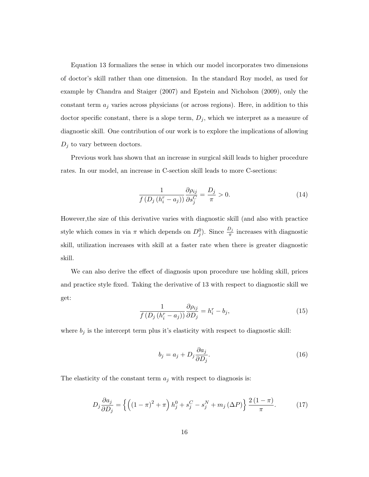Equation 13 formalizes the sense in which our model incorporates two dimensions of doctor's skill rather than one dimension. In the standard Roy model, as used for example by Chandra and Staiger (2007) and Epstein and Nicholson (2009), only the constant term  $a_j$  varies across physicians (or across regions). Here, in addition to this doctor specific constant, there is a slope term,  $D_j$ , which we interpret as a measure of diagnostic skill. One contribution of our work is to explore the implications of allowing  $D_j$  to vary between doctors.

Previous work has shown that an increase in surgical skill leads to higher procedure rates. In our model, an increase in C-section skill leads to more C-sections:

$$
\frac{1}{f(D_j(h_i^r - a_j))} \frac{\partial \rho_{ij}}{\partial s_j^C} = \frac{D_j}{\pi} > 0.
$$
\n(14)

However,the size of this derivative varies with diagnostic skill (and also with practice style which comes in via  $\pi$  which depends on  $D_j^0$ ). Since  $\frac{D_j}{\pi}$  increases with diagnostic skill, utilization increases with skill at a faster rate when there is greater diagnostic skill.

We can also derive the effect of diagnosis upon procedure use holding skill, prices and practice style fixed. Taking the derivative of 13 with respect to diagnostic skill we get:

$$
\frac{1}{f(D_j(h_i^r - a_j))} \frac{\partial \rho_{ij}}{\partial D_j} = h_i^r - b_j,\tag{15}
$$

where  $b_j$  is the intercept term plus it's elasticity with respect to diagnostic skill:

$$
b_j = a_j + D_j \frac{\partial a_j}{\partial D_j}.\tag{16}
$$

The elasticity of the constant term  $a_i$  with respect to diagnosis is:

$$
D_j \frac{\partial a_j}{\partial D_j} = \left\{ \left( (1-\pi)^2 + \pi \right) h_j^0 + s_j^C - s_j^N + m_j \left( \Delta P \right) \right\} \frac{2\left(1-\pi\right)}{\pi}.
$$
 (17)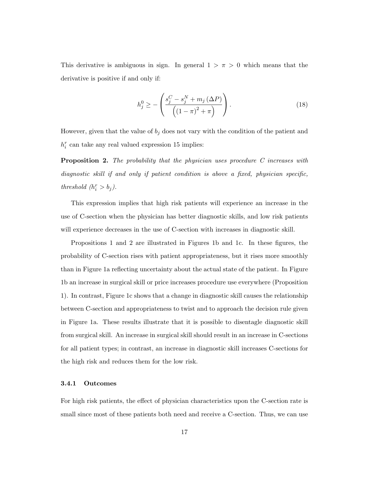This derivative is ambiguous in sign. In general  $1 > \pi > 0$  which means that the derivative is positive if and only if:

$$
h_j^0 \ge -\left(\frac{s_j^C - s_j^N + m_j(\Delta P)}{\left((1 - \pi)^2 + \pi\right)}\right). \tag{18}
$$

However, given that the value of  $b_j$  does not vary with the condition of the patient and  $h_i^r$  can take any real valued expression 15 implies:

Proposition 2. The probability that the physician uses procedure C increases with diagnostic skill if and only if patient condition is above a fixed, physician specific, threshold  $(h_i^r > b_j)$ .

This expression implies that high risk patients will experience an increase in the use of C-section when the physician has better diagnostic skills, and low risk patients will experience decreases in the use of C-section with increases in diagnostic skill.

Propositions 1 and 2 are illustrated in Figures 1b and 1c. In these figures, the probability of C-section rises with patient appropriateness, but it rises more smoothly than in Figure 1a reflecting uncertainty about the actual state of the patient. In Figure 1b an increase in surgical skill or price increases procedure use everywhere (Proposition 1). In contrast, Figure 1c shows that a change in diagnostic skill causes the relationship between C-section and appropriateness to twist and to approach the decision rule given in Figure 1a. These results illustrate that it is possible to disentagle diagnostic skill from surgical skill. An increase in surgical skill should result in an increase in C-sections for all patient types; in contrast, an increase in diagnostic skill increases C-sections for the high risk and reduces them for the low risk.

#### 3.4.1 Outcomes

For high risk patients, the effect of physician characteristics upon the C-section rate is small since most of these patients both need and receive a C-section. Thus, we can use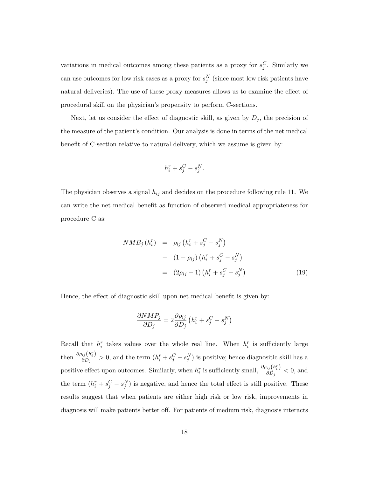variations in medical outcomes among these patients as a proxy for  $s_j^C$ . Similarly we can use outcomes for low risk cases as a proxy for  $s_j^N$  (since most low risk patients have natural deliveries). The use of these proxy measures allows us to examine the effect of procedural skill on the physician's propensity to perform C-sections.

Next, let us consider the effect of diagnostic skill, as given by  $D_j$ , the precision of the measure of the patient's condition. Our analysis is done in terms of the net medical benefit of C-section relative to natural delivery, which we assume is given by:

$$
h_i^r + s_j^C - s_j^N.
$$

The physician observes a signal  $h_{ij}$  and decides on the procedure following rule 11. We can write the net medical benefit as function of observed medical appropriateness for procedure C as:

$$
NMB_j (h_i^r) = \rho_{ij} (h_i^r + s_j^C - s_j^N)
$$
  
-  $(1 - \rho_{ij}) (h_i^r + s_j^C - s_j^N)$   
=  $(2\rho_{ij} - 1) (h_i^r + s_j^C - s_j^N)$  (19)

Hence, the effect of diagnostic skill upon net medical benefit is given by:

$$
\frac{\partial NMP_j}{\partial D_j} = 2 \frac{\partial \rho_{ij}}{\partial D_j} \left( h_i^r + s_j^C - s_j^N \right)
$$

Recall that  $h_i^r$  takes values over the whole real line. When  $h_i^r$  is sufficiently large then  $\frac{\partial \rho_{ij}(h_i^r)}{\partial D_i}$  $\frac{i_j(n_i)}{\partial D_j} > 0$ , and the term  $(h_i^r + s_j^C - s_j^N)$  is positive; hence diagnositic skill has a positive effect upon outcomes. Similarly, when  $h_i^r$  is sufficiently small,  $\frac{\partial \rho_{ij}(h_i^r)}{\partial D_i}$  $\frac{\partial^i \mathbf{y}(\mathbf{u}_i)}{\partial D_j} < 0$ , and the term  $(h_i^r + s_j^C - s_j^N)$  is negative, and hence the total effect is still positive. These results suggest that when patients are either high risk or low risk, improvements in diagnosis will make patients better off. For patients of medium risk, diagnosis interacts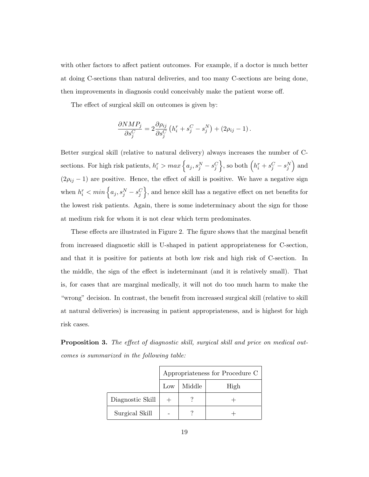with other factors to affect patient outcomes. For example, if a doctor is much better at doing C-sections than natural deliveries, and too many C-sections are being done, then improvements in diagnosis could conceivably make the patient worse off.

The effect of surgical skill on outcomes is given by:

$$
\frac{\partial NMP_j}{\partial s_j^C} = 2 \frac{\partial \rho_{ij}}{\partial s_j^C} \left( h_i^r + s_j^C - s_j^N \right) + (2\rho_{ij} - 1).
$$

Better surgical skill (relative to natural delivery) always increases the number of Csections. For high risk patients,  $h_i^r > max \left\{a_j, s_j^N - s_j^C\right\}$ , so both  $\left(h_i^r + s_j^C - s_j^N\right)$  and  $(2\rho_{ij} - 1)$  are positive. Hence, the effect of skill is positive. We have a negative sign when  $h_i^r < min\left\{a_j, s_j^N - s_j^C\right\}$ , and hence skill has a negative effect on net benefits for the lowest risk patients. Again, there is some indeterminacy about the sign for those at medium risk for whom it is not clear which term predominates.

These effects are illustrated in Figure 2. The figure shows that the marginal benefit from increased diagnostic skill is U-shaped in patient appropriateness for C-section, and that it is positive for patients at both low risk and high risk of C-section. In the middle, the sign of the effect is indeterminant (and it is relatively small). That is, for cases that are marginal medically, it will not do too much harm to make the "wrong" decision. In contrast, the benefit from increased surgical skill (relative to skill at natural deliveries) is increasing in patient appropriateness, and is highest for high risk cases.

**Proposition 3.** The effect of diagnostic skill, surgical skill and price on medical outcomes is summarized in the following table:

|                  |     |        | Appropriateness for Procedure C |
|------------------|-----|--------|---------------------------------|
|                  | Low | Middle | High                            |
| Diagnostic Skill |     |        |                                 |
| Surgical Skill   |     |        |                                 |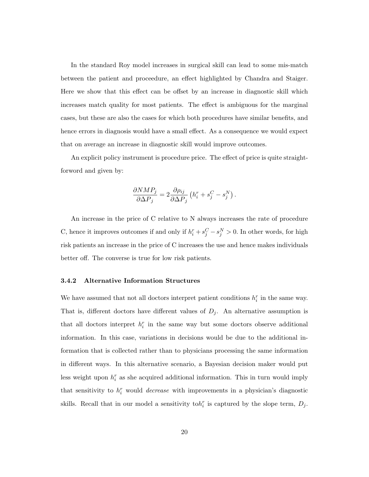In the standard Roy model increases in surgical skill can lead to some mis-match between the patient and proceedure, an effect highlighted by Chandra and Staiger. Here we show that this effect can be offset by an increase in diagnostic skill which increases match quality for most patients. The effect is ambiguous for the marginal cases, but these are also the cases for which both procedures have similar benefits, and hence errors in diagnosis would have a small effect. As a consequence we would expect that on average an increase in diagnostic skill would improve outcomes.

An explicit policy instrument is procedure price. The effect of price is quite straightforword and given by:

$$
\frac{\partial NMP_j}{\partial \Delta P_j} = 2 \frac{\partial \rho_{ij}}{\partial \Delta P_j} \left( h_i^r + s_j^C - s_j^N \right).
$$

An increase in the price of C relative to N always increases the rate of procedure C, hence it improves outcomes if and only if  $h_i^r + s_j^C - s_j^N > 0$ . In other words, for high risk patients an increase in the price of C increases the use and hence makes individuals better off. The converse is true for low risk patients.

#### 3.4.2 Alternative Information Structures

We have assumed that not all doctors interpret patient conditions  $h_i^r$  in the same way. That is, different doctors have different values of  $D_j$ . An alternative assumption is that all doctors interpret  $h_i^r$  in the same way but some doctors observe additional information. In this case, variations in decisions would be due to the additional information that is collected rather than to physicians processing the same information in different ways. In this alternative scenario, a Bayesian decision maker would put less weight upon  $h_i^r$  as she acquired additional information. This in turn would imply that sensitivity to  $h_i^r$  would *decrease* with improvements in a physician's diagnostic skills. Recall that in our model a sensitivity to  $h_i^r$  is captured by the slope term,  $D_j$ .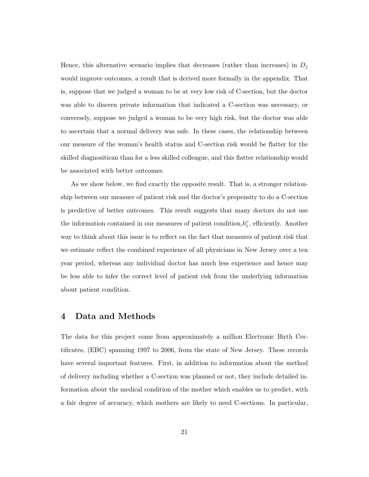Hence, this alternative scenario implies that decreases (rather than increases) in  $D_j$ would improve outcomes, a result that is derived more formally in the appendix. That is, suppose that we judged a woman to be at very low risk of C-section, but the doctor was able to discern private information that indicated a C-section was necessary, or conversely, suppose we judged a woman to be very high risk, but the doctor was able to ascertain that a normal delivery was safe. In these cases, the relationship between our measure of the woman's health status and C-section risk would be flatter for the skilled diagnositican than for a less skilled colleague, and this flatter relationship would be associated with better outcomes.

As we show below, we find exactly the opposite result. That is, a stronger relationship between our measure of patient risk and the doctor's propensity to do a C-section is predictive of better outcomes. This result suggests that many doctors do not use the information contained in our measures of patient condition,  $h_i^r$ , efficiently. Another way to think about this issue is to reflect on the fact that measures of patient risk that we estimate reflect the combined experience of all physicians in New Jersey over a ten year period, whereas any individual doctor has much less experience and hence may be less able to infer the correct level of patient risk from the underlying information about patient condition.

#### 4 Data and Methods

The data for this project come from approximately a million Electronic Birth Certificates, (EBC) spanning 1997 to 2006, from the state of New Jersey. These records have several important features. First, in addition to information about the method of delivery including whether a C-section was planned or not, they include detailed information about the medical condition of the mother which enables us to predict, with a fair degree of accuracy, which mothers are likely to need C-sections. In particular,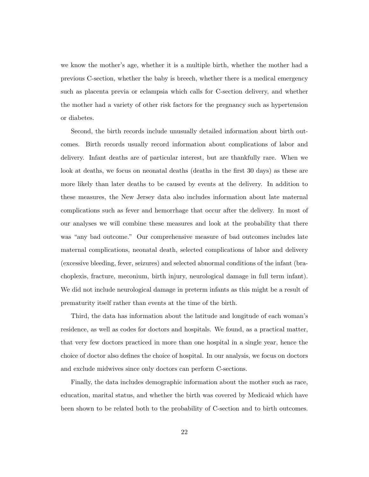we know the mother's age, whether it is a multiple birth, whether the mother had a previous C-section, whether the baby is breech, whether there is a medical emergency such as placenta previa or eclampsia which calls for C-section delivery, and whether the mother had a variety of other risk factors for the pregnancy such as hypertension or diabetes.

Second, the birth records include unusually detailed information about birth outcomes. Birth records usually record information about complications of labor and delivery. Infant deaths are of particular interest, but are thankfully rare. When we look at deaths, we focus on neonatal deaths (deaths in the first 30 days) as these are more likely than later deaths to be caused by events at the delivery. In addition to these measures, the New Jersey data also includes information about late maternal complications such as fever and hemorrhage that occur after the delivery. In most of our analyses we will combine these measures and look at the probability that there was "any bad outcome." Our comprehensive measure of bad outcomes includes late maternal complications, neonatal death, selected complications of labor and delivery (excessive bleeding, fever, seizures) and selected abnormal conditions of the infant (brachoplexis, fracture, meconium, birth injury, neurological damage in full term infant). We did not include neurological damage in preterm infants as this might be a result of prematurity itself rather than events at the time of the birth.

Third, the data has information about the latitude and longitude of each woman's residence, as well as codes for doctors and hospitals. We found, as a practical matter, that very few doctors practiced in more than one hospital in a single year, hence the choice of doctor also defines the choice of hospital. In our analysis, we focus on doctors and exclude midwives since only doctors can perform C-sections.

Finally, the data includes demographic information about the mother such as race, education, marital status, and whether the birth was covered by Medicaid which have been shown to be related both to the probability of C-section and to birth outcomes.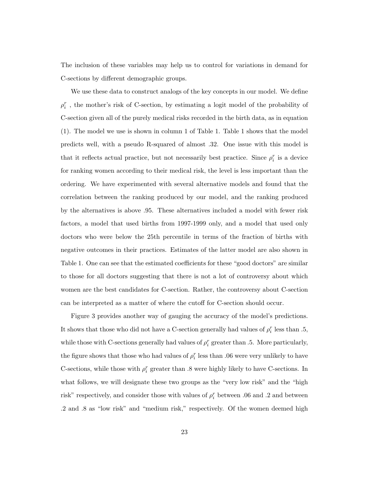The inclusion of these variables may help us to control for variations in demand for C-sections by different demographic groups.

We use these data to construct analogs of the key concepts in our model. We define  $\rho_i^r$  , the mother's risk of C-section, by estimating a logit model of the probability of C-section given all of the purely medical risks recorded in the birth data, as in equation (1). The model we use is shown in column 1 of Table 1. Table 1 shows that the model predicts well, with a pseudo R-squared of almost .32. One issue with this model is that it reflects actual practice, but not necessarily best practice. Since  $\rho_i^r$  is a device for ranking women according to their medical risk, the level is less important than the ordering. We have experimented with several alternative models and found that the correlation between the ranking produced by our model, and the ranking produced by the alternatives is above .95. These alternatives included a model with fewer risk factors, a model that used births from 1997-1999 only, and a model that used only doctors who were below the 25th percentile in terms of the fraction of births with negative outcomes in their practices. Estimates of the latter model are also shown in Table 1. One can see that the estimated coefficients for these "good doctors" are similar to those for all doctors suggesting that there is not a lot of controversy about which women are the best candidates for C-section. Rather, the controversy about C-section can be interpreted as a matter of where the cutoff for C-section should occur.

Figure 3 provides another way of gauging the accuracy of the model's predictions. It shows that those who did not have a C-section generally had values of  $\rho_i^r$  less than .5, while those with C-sections generally had values of  $\rho_i^r$  greater than .5. More particularly, the figure shows that those who had values of  $\rho_i^r$  less than .06 were very unlikely to have C-sections, while those with  $\rho_i^r$  greater than .8 were highly likely to have C-sections. In what follows, we will designate these two groups as the "very low risk" and the "high risk" respectively, and consider those with values of  $\rho_i^r$  between .06 and .2 and between .2 and .8 as "low risk" and "medium risk," respectively. Of the women deemed high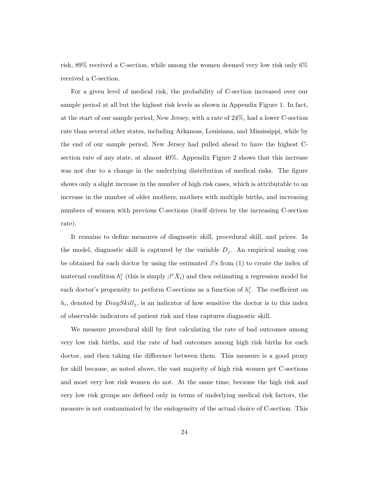risk, 89% received a C-section, while among the women deemed very low risk only 6% received a C-section.

For a given level of medical risk, the probability of C-section increased over our sample period at all but the highest risk levels as shown in Appendix Figure 1. In fact, at the start of our sample period, New Jersey, with a rate of 24%, had a lower C-section rate than several other states, including Arkansas, Louisiana, and Mississippi, while by the end of our sample period, New Jersey had pulled ahead to have the highest Csection rate of any state, at almost 40%. Appendix Figure 2 shows that this increase was not due to a change in the underlying distribution of medical risks. The figure shows only a slight increase in the number of high risk cases, which is attributable to an increase in the number of older mothers, mothers with multiple births, and increasing numbers of women with previous C-sections (itself driven by the increasing C-section rate).

It remains to define measures of diagnostic skill, procedural skill, and prices. In the model, diagnostic skill is captured by the variable  $D_i$ . An empirical analog can be obtained for each doctor by using the estimated  $\beta$ 's from (1) to create the index of maternal condition  $h_i^r$  (this is simply  $\beta^r X_i$ ) and then estimating a regression model for each doctor's propensity to perform C-sections as a function of  $h_i^r$ . The coefficient on  $h_i$ , denoted by  $DiagSkill_j$ , is an indicator of how sensitive the doctor is to this index of observable indicators of patient risk and thus captures diagnostic skill.

We measure procedural skill by first calculating the rate of bad outcomes among very low risk births, and the rate of bad outcomes among high risk births for each doctor, and then taking the difference between them. This measure is a good proxy for skill because, as noted above, the vast majority of high risk women get C-sections and most very low risk women do not. At the same time, because the high risk and very low risk groups are defined only in terms of underlying medical risk factors, the measure is not contaminated by the endogeneity of the actual choice of C-section. This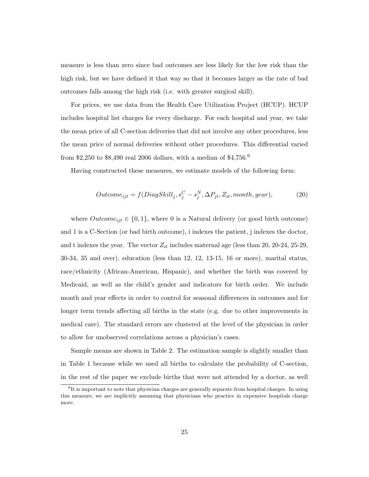measure is less than zero since bad outcomes are less likely for the low risk than the high risk, but we have defined it that way so that it becomes larger as the rate of bad outcomes falls among the high risk (i.e. with greater surgical skill).

For prices, we use data from the Health Care Utilization Project (HCUP). HCUP includes hospital list charges for every discharge. For each hospital and year, we take the mean price of all C-section deliveries that did not involve any other procedures, less the mean price of normal deliveries without other procedures. This differential varied from \$2,250 to \$8,490 real 2006 dollars, with a median of \$4,756.<sup>6</sup>

Having constructed these measures, we estimate models of the following form:

$$
Outcome_{ijt} = f(DiagSkill_j, s_j^C - s_j^N, \Delta P_{jt}, Z_{it}, month, year),
$$
\n(20)

where  $Outcome_{ijt} \in \{0,1\}$ , where 0 is a Natural delivery (or good birth outcome) and 1 is a C-Section (or bad birth outcome), i indexes the patient, j indexes the doctor, and t indexes the year. The vector  $Z_{it}$  includes maternal age (less than 20, 20-24, 25-29, 30-34, 35 and over), education (less than 12, 12, 13-15, 16 or more), marital status, race/ethnicity (African-American, Hispanic), and whether the birth was covered by Medicaid, as well as the child's gender and indicators for birth order. We include month and year effects in order to control for seasonal differences in outcomes and for longer term trends affecting all births in the state (e.g. due to other improvements in medical care). The standard errors are clustered at the level of the physician in order to allow for unobserved correlations across a physician's cases.

Sample means are shown in Table 2. The estimation sample is slightly smaller than in Table 1 because while we used all births to calculate the probability of C-section, in the rest of the paper we exclude births that were not attended by a doctor, as well

<sup>&</sup>lt;sup>6</sup>It is important to note that physician charges are generally separate from hospital charges. In using this measure, we are implicitly assuming that physicians who practice in expensive hospitals charge more.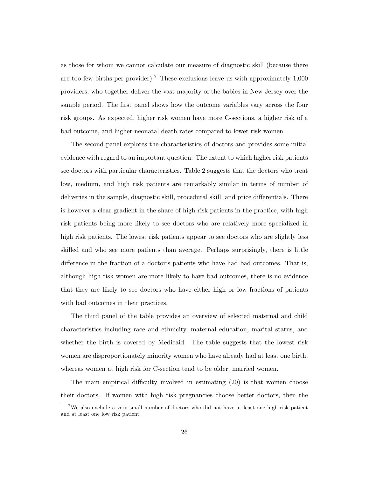as those for whom we cannot calculate our measure of diagnostic skill (because there are too few births per provider).<sup>7</sup> These exclusions leave us with approximately  $1,000$ providers, who together deliver the vast majority of the babies in New Jersey over the sample period. The first panel shows how the outcome variables vary across the four risk groups. As expected, higher risk women have more C-sections, a higher risk of a bad outcome, and higher neonatal death rates compared to lower risk women.

The second panel explores the characteristics of doctors and provides some initial evidence with regard to an important question: The extent to which higher risk patients see doctors with particular characteristics. Table 2 suggests that the doctors who treat low, medium, and high risk patients are remarkably similar in terms of number of deliveries in the sample, diagnostic skill, procedural skill, and price differentials. There is however a clear gradient in the share of high risk patients in the practice, with high risk patients being more likely to see doctors who are relatively more specialized in high risk patients. The lowest risk patients appear to see doctors who are slightly less skilled and who see more patients than average. Perhaps surprisingly, there is little difference in the fraction of a doctor's patients who have had bad outcomes. That is, although high risk women are more likely to have bad outcomes, there is no evidence that they are likely to see doctors who have either high or low fractions of patients with bad outcomes in their practices.

The third panel of the table provides an overview of selected maternal and child characteristics including race and ethnicity, maternal education, marital status, and whether the birth is covered by Medicaid. The table suggests that the lowest risk women are disproportionately minority women who have already had at least one birth, whereas women at high risk for C-section tend to be older, married women.

The main empirical difficulty involved in estimating (20) is that women choose their doctors. If women with high risk pregnancies choose better doctors, then the

<sup>&</sup>lt;sup>7</sup>We also exclude a very small number of doctors who did not have at least one high risk patient and at least one low risk patient.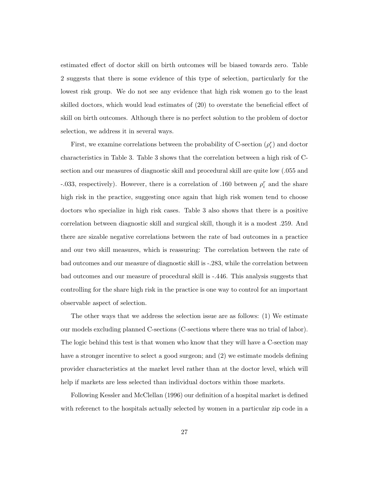estimated effect of doctor skill on birth outcomes will be biased towards zero. Table 2 suggests that there is some evidence of this type of selection, particularly for the lowest risk group. We do not see any evidence that high risk women go to the least skilled doctors, which would lead estimates of (20) to overstate the beneficial effect of skill on birth outcomes. Although there is no perfect solution to the problem of doctor selection, we address it in several ways.

First, we examine correlations between the probability of C-section  $(\rho_i^r)$  and doctor characteristics in Table 3. Table 3 shows that the correlation between a high risk of Csection and our measures of diagnostic skill and procedural skill are quite low (.055 and -.033, respectively). However, there is a correlation of .160 between  $\rho_i^r$  and the share high risk in the practice, suggesting once again that high risk women tend to choose doctors who specialize in high risk cases. Table 3 also shows that there is a positive correlation between diagnostic skill and surgical skill, though it is a modest .259. And there are sizable negative correlations between the rate of bad outcomes in a practice and our two skill measures, which is reassuring: The correlation between the rate of bad outcomes and our measure of diagnostic skill is -.283, while the correlation between bad outcomes and our measure of procedural skill is -.446. This analysis suggests that controlling for the share high risk in the practice is one way to control for an important observable aspect of selection.

The other ways that we address the selection issue are as follows: (1) We estimate our models excluding planned C-sections (C-sections where there was no trial of labor). The logic behind this test is that women who know that they will have a C-section may have a stronger incentive to select a good surgeon; and (2) we estimate models defining provider characteristics at the market level rather than at the doctor level, which will help if markets are less selected than individual doctors within those markets.

Following Kessler and McClellan (1996) our definition of a hospital market is defined with referenct to the hospitals actually selected by women in a particular zip code in a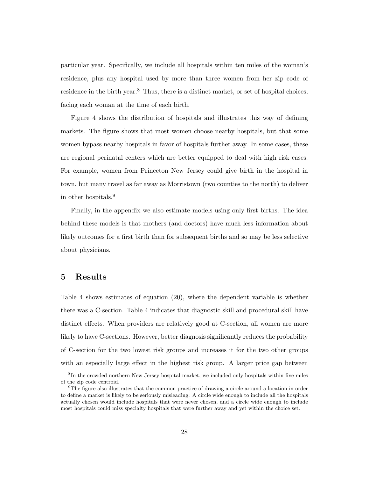particular year. Specifically, we include all hospitals within ten miles of the woman's residence, plus any hospital used by more than three women from her zip code of residence in the birth year.<sup>8</sup> Thus, there is a distinct market, or set of hospital choices, facing each woman at the time of each birth.

Figure 4 shows the distribution of hospitals and illustrates this way of defining markets. The figure shows that most women choose nearby hospitals, but that some women bypass nearby hospitals in favor of hospitals further away. In some cases, these are regional perinatal centers which are better equipped to deal with high risk cases. For example, women from Princeton New Jersey could give birth in the hospital in town, but many travel as far away as Morristown (two counties to the north) to deliver in other hospitals.<sup>9</sup>

Finally, in the appendix we also estimate models using only first births. The idea behind these models is that mothers (and doctors) have much less information about likely outcomes for a first birth than for subsequent births and so may be less selective about physicians.

### 5 Results

Table 4 shows estimates of equation (20), where the dependent variable is whether there was a C-section. Table 4 indicates that diagnostic skill and procedural skill have distinct effects. When providers are relatively good at C-section, all women are more likely to have C-sections. However, better diagnosis significantly reduces the probability of C-section for the two lowest risk groups and increases it for the two other groups with an especially large effect in the highest risk group. A larger price gap between

<sup>&</sup>lt;sup>8</sup>In the crowded northern New Jersey hospital market, we included only hospitals within five miles of the zip code centroid.

<sup>&</sup>lt;sup>9</sup>The figure also illustrates that the common practice of drawing a circle around a location in order to define a market is likely to be seriously misleading: A circle wide enough to include all the hospitals actually chosen would include hospitals that were never chosen, and a circle wide enough to include most hospitals could miss specialty hospitals that were further away and yet within the choice set.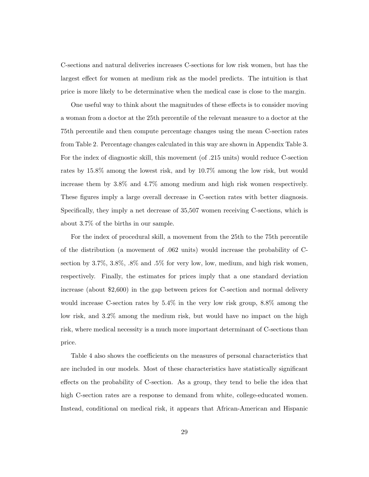C-sections and natural deliveries increases C-sections for low risk women, but has the largest effect for women at medium risk as the model predicts. The intuition is that price is more likely to be determinative when the medical case is close to the margin.

One useful way to think about the magnitudes of these effects is to consider moving a woman from a doctor at the 25th percentile of the relevant measure to a doctor at the 75th percentile and then compute percentage changes using the mean C-section rates from Table 2. Percentage changes calculated in this way are shown in Appendix Table 3. For the index of diagnostic skill, this movement (of .215 units) would reduce C-section rates by 15.8% among the lowest risk, and by 10.7% among the low risk, but would increase them by 3.8% and 4.7% among medium and high risk women respectively. These figures imply a large overall decrease in C-section rates with better diagnosis. Specifically, they imply a net decrease of 35,507 women receiving C-sections, which is about 3.7% of the births in our sample.

For the index of procedural skill, a movement from the 25th to the 75th percentile of the distribution (a movement of .062 units) would increase the probability of Csection by 3.7%, 3.8%, .8% and .5% for very low, low, medium, and high risk women, respectively. Finally, the estimates for prices imply that a one standard deviation increase (about \$2,600) in the gap between prices for C-section and normal delivery would increase C-section rates by 5.4% in the very low risk group, 8.8% among the low risk, and 3.2% among the medium risk, but would have no impact on the high risk, where medical necessity is a much more important determinant of C-sections than price.

Table 4 also shows the coefficients on the measures of personal characteristics that are included in our models. Most of these characteristics have statistically significant effects on the probability of C-section. As a group, they tend to belie the idea that high C-section rates are a response to demand from white, college-educated women. Instead, conditional on medical risk, it appears that African-American and Hispanic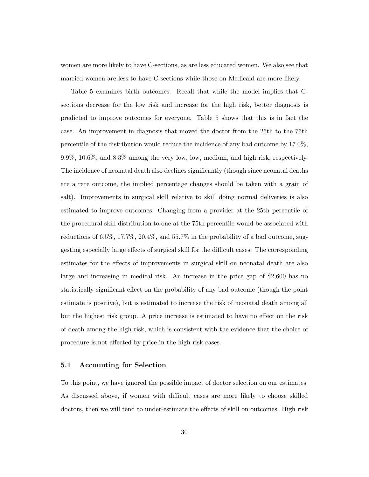women are more likely to have C-sections, as are less educated women. We also see that married women are less to have C-sections while those on Medicaid are more likely.

Table 5 examines birth outcomes. Recall that while the model implies that Csections decrease for the low risk and increase for the high risk, better diagnosis is predicted to improve outcomes for everyone. Table 5 shows that this is in fact the case. An improvement in diagnosis that moved the doctor from the 25th to the 75th percentile of the distribution would reduce the incidence of any bad outcome by 17.0%, 9.9%, 10.6%, and 8.3% among the very low, low, medium, and high risk, respectively. The incidence of neonatal death also declines significantly (though since neonatal deaths are a rare outcome, the implied percentage changes should be taken with a grain of salt). Improvements in surgical skill relative to skill doing normal deliveries is also estimated to improve outcomes: Changing from a provider at the 25th percentile of the procedural skill distribution to one at the 75th percentile would be associated with reductions of 6.5%, 17.7%, 20.4%, and 55.7% in the probability of a bad outcome, suggesting especially large effects of surgical skill for the difficult cases. The corresponding estimates for the effects of improvements in surgical skill on neonatal death are also large and increasing in medical risk. An increase in the price gap of \$2,600 has no statistically significant effect on the probability of any bad outcome (though the point estimate is positive), but is estimated to increase the risk of neonatal death among all but the highest risk group. A price increase is estimated to have no effect on the risk of death among the high risk, which is consistent with the evidence that the choice of procedure is not affected by price in the high risk cases.

#### 5.1 Accounting for Selection

To this point, we have ignored the possible impact of doctor selection on our estimates. As discussed above, if women with difficult cases are more likely to choose skilled doctors, then we will tend to under-estimate the effects of skill on outcomes. High risk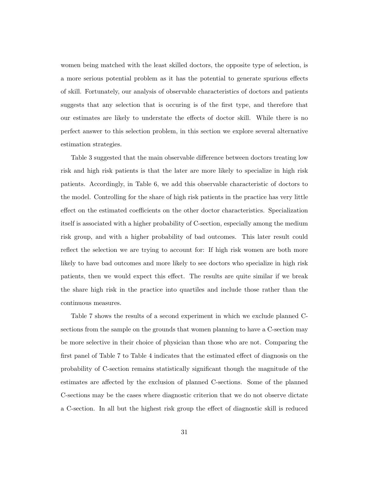women being matched with the least skilled doctors, the opposite type of selection, is a more serious potential problem as it has the potential to generate spurious effects of skill. Fortunately, our analysis of observable characteristics of doctors and patients suggests that any selection that is occuring is of the first type, and therefore that our estimates are likely to understate the effects of doctor skill. While there is no perfect answer to this selection problem, in this section we explore several alternative estimation strategies.

Table 3 suggested that the main observable difference between doctors treating low risk and high risk patients is that the later are more likely to specialize in high risk patients. Accordingly, in Table 6, we add this observable characteristic of doctors to the model. Controlling for the share of high risk patients in the practice has very little effect on the estimated coefficients on the other doctor characteristics. Specialization itself is associated with a higher probability of C-section, especially among the medium risk group, and with a higher probability of bad outcomes. This later result could reflect the selection we are trying to account for: If high risk women are both more likely to have bad outcomes and more likely to see doctors who specialize in high risk patients, then we would expect this effect. The results are quite similar if we break the share high risk in the practice into quartiles and include those rather than the continuous measures.

Table 7 shows the results of a second experiment in which we exclude planned Csections from the sample on the grounds that women planning to have a C-section may be more selective in their choice of physician than those who are not. Comparing the first panel of Table 7 to Table 4 indicates that the estimated effect of diagnosis on the probability of C-section remains statistically significant though the magnitude of the estimates are affected by the exclusion of planned C-sections. Some of the planned C-sections may be the cases where diagnostic criterion that we do not observe dictate a C-section. In all but the highest risk group the effect of diagnostic skill is reduced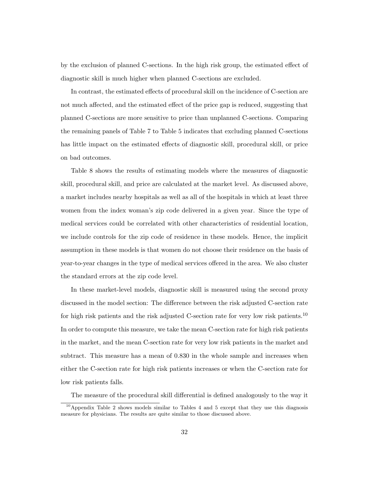by the exclusion of planned C-sections. In the high risk group, the estimated effect of diagnostic skill is much higher when planned C-sections are excluded.

In contrast, the estimated effects of procedural skill on the incidence of C-section are not much affected, and the estimated effect of the price gap is reduced, suggesting that planned C-sections are more sensitive to price than unplanned C-sections. Comparing the remaining panels of Table 7 to Table 5 indicates that excluding planned C-sections has little impact on the estimated effects of diagnostic skill, procedural skill, or price on bad outcomes.

Table 8 shows the results of estimating models where the measures of diagnostic skill, procedural skill, and price are calculated at the market level. As discussed above, a market includes nearby hospitals as well as all of the hospitals in which at least three women from the index woman's zip code delivered in a given year. Since the type of medical services could be correlated with other characteristics of residential location, we include controls for the zip code of residence in these models. Hence, the implicit assumption in these models is that women do not choose their residence on the basis of year-to-year changes in the type of medical services offered in the area. We also cluster the standard errors at the zip code level.

In these market-level models, diagnostic skill is measured using the second proxy discussed in the model section: The difference between the risk adjusted C-section rate for high risk patients and the risk adjusted C-section rate for very low risk patients.<sup>10</sup> In order to compute this measure, we take the mean C-section rate for high risk patients in the market, and the mean C-section rate for very low risk patients in the market and subtract. This measure has a mean of 0.830 in the whole sample and increases when either the C-section rate for high risk patients increases or when the C-section rate for low risk patients falls.

The measure of the procedural skill differential is defined analogously to the way it

 $10$ Appendix Table 2 shows models similar to Tables 4 and 5 except that they use this diagnosis measure for physicians. The results are quite similar to those discussed above.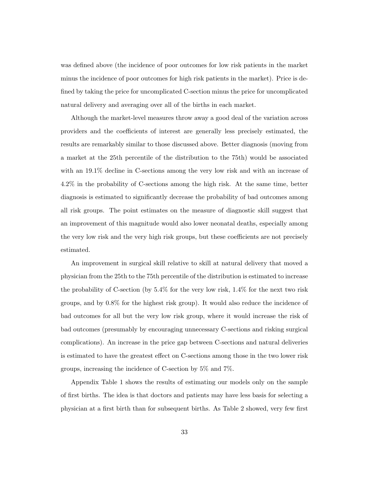was defined above (the incidence of poor outcomes for low risk patients in the market minus the incidence of poor outcomes for high risk patients in the market). Price is defined by taking the price for uncomplicated C-section minus the price for uncomplicated natural delivery and averaging over all of the births in each market.

Although the market-level measures throw away a good deal of the variation across providers and the coefficients of interest are generally less precisely estimated, the results are remarkably similar to those discussed above. Better diagnosis (moving from a market at the 25th percentile of the distribution to the 75th) would be associated with an 19.1% decline in C-sections among the very low risk and with an increase of 4.2% in the probability of C-sections among the high risk. At the same time, better diagnosis is estimated to significantly decrease the probability of bad outcomes among all risk groups. The point estimates on the measure of diagnostic skill suggest that an improvement of this magnitude would also lower neonatal deaths, especially among the very low risk and the very high risk groups, but these coefficients are not precisely estimated.

An improvement in surgical skill relative to skill at natural delivery that moved a physician from the 25th to the 75th percentile of the distribution is estimated to increase the probability of C-section (by  $5.4\%$  for the very low risk,  $1.4\%$  for the next two risk groups, and by 0.8% for the highest risk group). It would also reduce the incidence of bad outcomes for all but the very low risk group, where it would increase the risk of bad outcomes (presumably by encouraging unnecessary C-sections and risking surgical complications). An increase in the price gap between C-sections and natural deliveries is estimated to have the greatest effect on C-sections among those in the two lower risk groups, increasing the incidence of C-section by 5% and 7%.

Appendix Table 1 shows the results of estimating our models only on the sample of first births. The idea is that doctors and patients may have less basis for selecting a physician at a first birth than for subsequent births. As Table 2 showed, very few first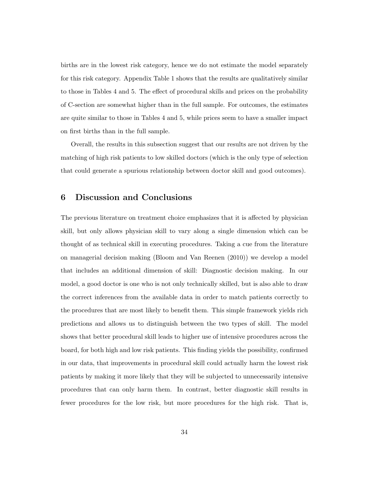births are in the lowest risk category, hence we do not estimate the model separately for this risk category. Appendix Table 1 shows that the results are qualitatively similar to those in Tables 4 and 5. The effect of procedural skills and prices on the probability of C-section are somewhat higher than in the full sample. For outcomes, the estimates are quite similar to those in Tables 4 and 5, while prices seem to have a smaller impact on first births than in the full sample.

Overall, the results in this subsection suggest that our results are not driven by the matching of high risk patients to low skilled doctors (which is the only type of selection that could generate a spurious relationship between doctor skill and good outcomes).

### 6 Discussion and Conclusions

The previous literature on treatment choice emphasizes that it is affected by physician skill, but only allows physician skill to vary along a single dimension which can be thought of as technical skill in executing procedures. Taking a cue from the literature on managerial decision making (Bloom and Van Reenen (2010)) we develop a model that includes an additional dimension of skill: Diagnostic decision making. In our model, a good doctor is one who is not only technically skilled, but is also able to draw the correct inferences from the available data in order to match patients correctly to the procedures that are most likely to benefit them. This simple framework yields rich predictions and allows us to distinguish between the two types of skill. The model shows that better procedural skill leads to higher use of intensive procedures across the board, for both high and low risk patients. This finding yields the possibility, confirmed in our data, that improvements in procedural skill could actually harm the lowest risk patients by making it more likely that they will be subjected to unnecessarily intensive procedures that can only harm them. In contrast, better diagnostic skill results in fewer procedures for the low risk, but more procedures for the high risk. That is,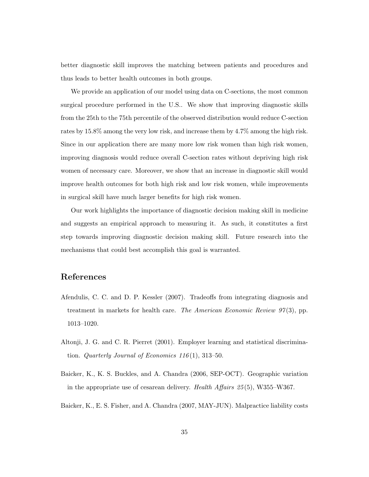better diagnostic skill improves the matching between patients and procedures and thus leads to better health outcomes in both groups.

We provide an application of our model using data on C-sections, the most common surgical procedure performed in the U.S.. We show that improving diagnostic skills from the 25th to the 75th percentile of the observed distribution would reduce C-section rates by 15.8% among the very low risk, and increase them by 4.7% among the high risk. Since in our application there are many more low risk women than high risk women, improving diagnosis would reduce overall C-section rates without depriving high risk women of necessary care. Moreover, we show that an increase in diagnostic skill would improve health outcomes for both high risk and low risk women, while improvements in surgical skill have much larger benefits for high risk women.

Our work highlights the importance of diagnostic decision making skill in medicine and suggests an empirical approach to measuring it. As such, it constitutes a first step towards improving diagnostic decision making skill. Future research into the mechanisms that could best accomplish this goal is warranted.

## References

- Afendulis, C. C. and D. P. Kessler (2007). Tradeoffs from integrating diagnosis and treatment in markets for health care. The American Economic Review  $97(3)$ , pp. 1013–1020.
- Altonji, J. G. and C. R. Pierret (2001). Employer learning and statistical discrimination. Quarterly Journal of Economics  $116(1)$ ,  $313-50$ .
- Baicker, K., K. S. Buckles, and A. Chandra (2006, SEP-OCT). Geographic variation in the appropriate use of cesarean delivery. Health Affairs 25 (5), W355–W367.
- Baicker, K., E. S. Fisher, and A. Chandra (2007, MAY-JUN). Malpractice liability costs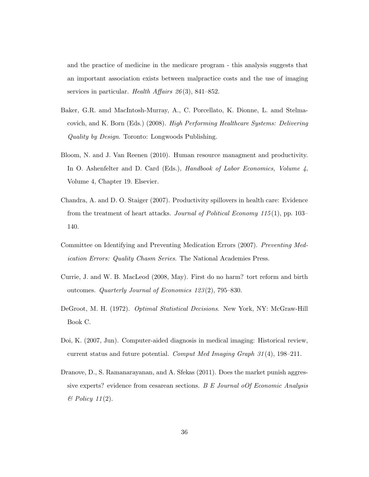and the practice of medicine in the medicare program - this analysis suggests that an important association exists between malpractice costs and the use of imaging services in particular. Health Affairs  $26(3)$ , 841–852.

- Baker, G.R. amd MacIntosh-Murray, A., C. Porcellato, K. Dionne, L. amd Stelmacovich, and K. Born (Eds.) (2008). High Performing Healthcare Systems: Delivering Quality by Design. Toronto: Longwoods Publishing.
- Bloom, N. and J. Van Reenen (2010). Human resource managment and productivity. In O. Ashenfelter and D. Card (Eds.), Handbook of Labor Economics, Volume 4, Volume 4, Chapter 19. Elsevier.
- Chandra, A. and D. O. Staiger (2007). Productivity spillovers in health care: Evidence from the treatment of heart attacks. Journal of Political Economy 115(1), pp. 103– 140.
- Committee on Identifying and Preventing Medication Errors (2007). Preventing Medication Errors: Quality Chasm Series. The National Academies Press.
- Currie, J. and W. B. MacLeod (2008, May). First do no harm? tort reform and birth outcomes. Quarterly Journal of Economics 123 (2), 795–830.
- DeGroot, M. H. (1972). Optimal Statistical Decisions. New York, NY: McGraw-Hill Book C.
- Doi, K. (2007, Jun). Computer-aided diagnosis in medical imaging: Historical review, current status and future potential. Comput Med Imaging Graph  $31(4)$ , 198–211.
- Dranove, D., S. Ramanarayanan, and A. Sfekas (2011). Does the market punish aggressive experts? evidence from cesarean sections. B E Journal oOf Economic Analysis  $\mathscr B$  Policy 11(2).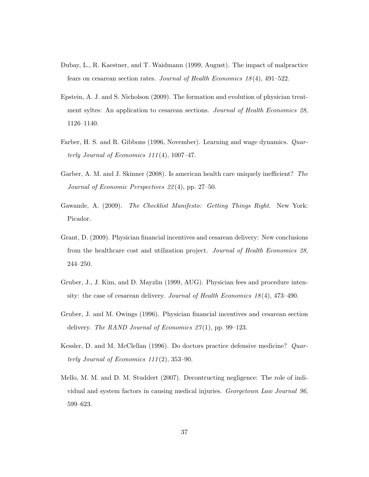- Dubay, L., R. Kaestner, and T. Waidmann (1999, August). The impact of malpractice fears on cesarean section rates. Journal of Health Economics 18 (4), 491–522.
- Epstein, A. J. and S. Nicholson (2009). The formation and evolution of physician treatment syltes: An application to cesarean sections. Journal of Health Economics 28, 1126–1140.
- Farber, H. S. and R. Gibbons (1996, November). Learning and wage dynamics. Quarterly Journal of Economics  $111(4)$ , 1007-47.
- Garber, A. M. and J. Skinner (2008). Is american health care uniquely inefficient? The Journal of Economic Perspectives 22 (4), pp. 27–50.
- Gawande, A. (2009). The Checklist Manifesto: Getting Things Right. New York: Picador.
- Grant, D. (2009). Physician financial incentives and cesarean delivery: New conclusions from the healthcare cost and utilization project. Journal of Health Economics 28, 244–250.
- Gruber, J., J. Kim, and D. Mayzlin (1999, AUG). Physician fees and procedure intensity: the case of cesarean delivery. Journal of Health Economics 18 (4), 473–490.
- Gruber, J. and M. Owings (1996). Physician financial incentives and cesarean section delivery. The RAND Journal of Economics  $27(1)$ , pp. 99–123.
- Kessler, D. and M. McClellan (1996). Do doctors practice defensive medicine? Quarterly Journal of Economics  $111(2)$ , 353–90.
- Mello, M. M. and D. M. Studdert (2007). Decontructing negligence: The role of individual and system factors in causing medical injuries. Georgetown Law Journal 96, 599–623.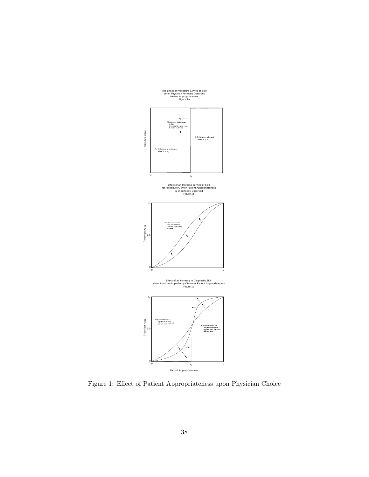

Figure 1: Effect of Patient Appropriateness upon Physician Choice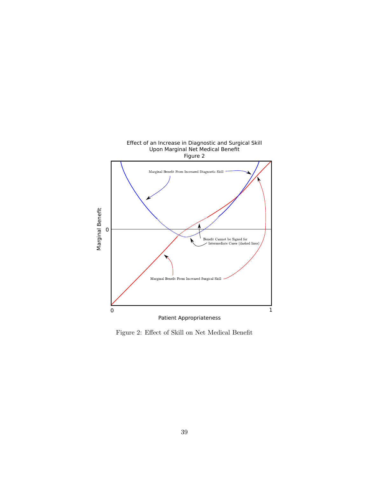

Figure 2: Effect of Skill on Net Medical Benefit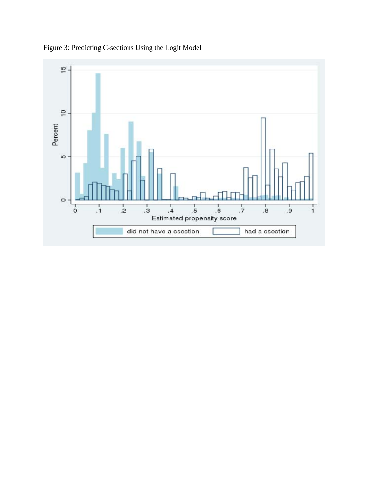

Figure 3: Predicting C-sections Using the Logit Model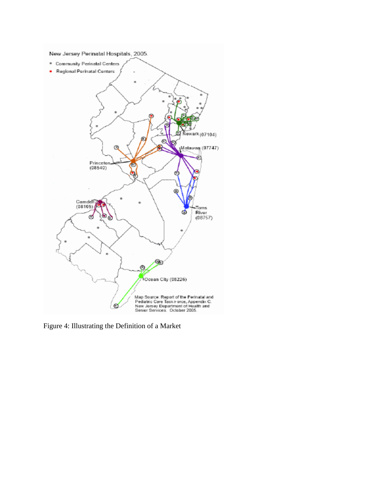

Figure 4: Illustrating the Definition of a Market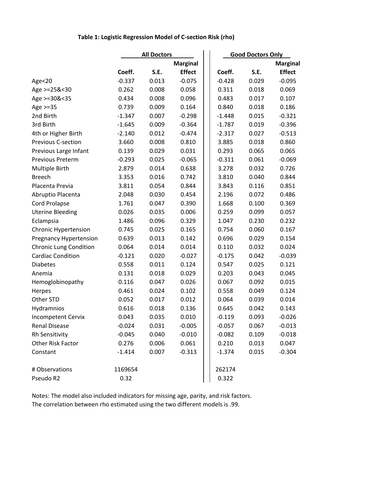## **Table 1: Logistic Regression Model of C‐section Risk (rho)**

|                               |          | <b>All Doctors</b> |                 |          | <b>Good Doctors Only</b> |                 |  |  |
|-------------------------------|----------|--------------------|-----------------|----------|--------------------------|-----------------|--|--|
|                               |          |                    | <b>Marginal</b> |          |                          | <b>Marginal</b> |  |  |
|                               | Coeff.   | S.E.               | <b>Effect</b>   | Coeff.   | S.E.                     | <b>Effect</b>   |  |  |
| Age<20                        | $-0.337$ | 0.013              | $-0.075$        | $-0.428$ | 0.029                    | $-0.095$        |  |  |
| Age >=25&<30                  | 0.262    | 0.008              | 0.058           | 0.311    | 0.018                    | 0.069           |  |  |
| Age >=30&<35                  | 0.434    | 0.008              | 0.096           | 0.483    | 0.017                    | 0.107           |  |  |
| Age $>=35$                    | 0.739    | 0.009              | 0.164           | 0.840    | 0.018                    | 0.186           |  |  |
| 2nd Birth                     | $-1.347$ | 0.007              | $-0.298$        | $-1.448$ | 0.015                    | $-0.321$        |  |  |
| 3rd Birth                     | $-1.645$ | 0.009              | $-0.364$        | $-1.787$ | 0.019                    | $-0.396$        |  |  |
| 4th or Higher Birth           | $-2.140$ | 0.012              | $-0.474$        | $-2.317$ | 0.027                    | $-0.513$        |  |  |
| <b>Previous C-section</b>     | 3.660    | 0.008              | 0.810           | 3.885    | 0.018                    | 0.860           |  |  |
| Previous Large Infant         | 0.139    | 0.029              | 0.031           | 0.293    | 0.065                    | 0.065           |  |  |
| Previous Preterm              | $-0.293$ | 0.025              | $-0.065$        | $-0.311$ | 0.061                    | $-0.069$        |  |  |
| Multiple Birth                | 2.879    | 0.014              | 0.638           | 3.278    | 0.032                    | 0.726           |  |  |
| <b>Breech</b>                 | 3.353    | 0.016              | 0.742           | 3.810    | 0.040                    | 0.844           |  |  |
| Placenta Previa               | 3.811    | 0.054              | 0.844           | 3.843    | 0.116                    | 0.851           |  |  |
| Abruptio Placenta             | 2.048    | 0.030              | 0.454           | 2.196    | 0.072                    | 0.486           |  |  |
| <b>Cord Prolapse</b>          | 1.761    | 0.047              | 0.390           | 1.668    | 0.100                    | 0.369           |  |  |
| <b>Uterine Bleeding</b>       | 0.026    | 0.035              | 0.006           | 0.259    | 0.099                    | 0.057           |  |  |
| Eclampsia                     | 1.486    | 0.096              | 0.329           | 1.047    | 0.230                    | 0.232           |  |  |
| <b>Chronic Hypertension</b>   | 0.745    | 0.025              | 0.165           | 0.754    | 0.060                    | 0.167           |  |  |
| <b>Pregnancy Hypertension</b> | 0.639    | 0.013              | 0.142           | 0.696    | 0.029                    | 0.154           |  |  |
| <b>Chronic Lung Condition</b> | 0.064    | 0.014              | 0.014           | 0.110    | 0.032                    | 0.024           |  |  |
| <b>Cardiac Condition</b>      | $-0.121$ | 0.020              | $-0.027$        | $-0.175$ | 0.042                    | $-0.039$        |  |  |
| <b>Diabetes</b>               | 0.558    | 0.011              | 0.124           | 0.547    | 0.025                    | 0.121           |  |  |
| Anemia                        | 0.131    | 0.018              | 0.029           | 0.203    | 0.043                    | 0.045           |  |  |
| Hemoglobinopathy              | 0.116    | 0.047              | 0.026           | 0.067    | 0.092                    | 0.015           |  |  |
| Herpes                        | 0.461    | 0.024              | 0.102           | 0.558    | 0.049                    | 0.124           |  |  |
| Other STD                     | 0.052    | 0.017              | 0.012           | 0.064    | 0.039                    | 0.014           |  |  |
| Hydramnios                    | 0.616    | 0.018              | 0.136           | 0.645    | 0.042                    | 0.143           |  |  |
| <b>Incompetent Cervix</b>     | 0.043    | 0.035              | 0.010           | $-0.119$ | 0.093                    | $-0.026$        |  |  |
| Renal Disease                 | $-0.024$ | 0.031              | $-0.005$        | $-0.057$ | 0.067                    | $-0.013$        |  |  |
| Rh Sensitivity                | $-0.045$ | 0.040              | $-0.010$        | $-0.082$ | 0.109                    | $-0.018$        |  |  |
| Other Risk Factor             | 0.276    | 0.006              | 0.061           | 0.210    | 0.013                    | 0.047           |  |  |
| Constant                      | $-1.414$ | 0.007              | $-0.313$        | $-1.374$ | 0.015                    | $-0.304$        |  |  |
| # Observations                | 1169654  |                    |                 | 262174   |                          |                 |  |  |
| Pseudo R2                     | 0.32     |                    |                 | 0.322    |                          |                 |  |  |

Notes: The model also included indicators for missing age, parity, and risk factors. The correlation between rho estimated using the two different models is .99.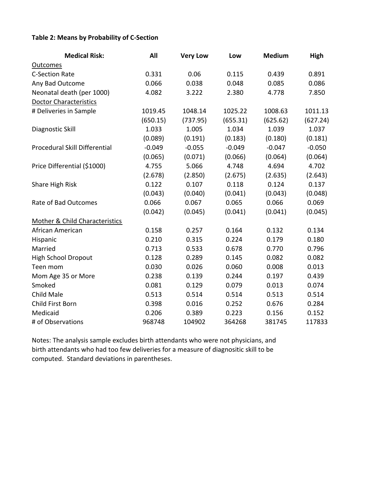### **Table 2: Means by Probability of C‐Section**

| <b>Medical Risk:</b>                      | All      | <b>Very Low</b> | Low      | <b>Medium</b> | High     |
|-------------------------------------------|----------|-----------------|----------|---------------|----------|
| <b>Outcomes</b>                           |          |                 |          |               |          |
| <b>C-Section Rate</b>                     | 0.331    | 0.06            | 0.115    | 0.439         | 0.891    |
| Any Bad Outcome                           | 0.066    | 0.038           | 0.048    | 0.085         | 0.086    |
| Neonatal death (per 1000)                 | 4.082    | 3.222           | 2.380    | 4.778         | 7.850    |
| <b>Doctor Characteristics</b>             |          |                 |          |               |          |
| # Deliveries in Sample                    | 1019.45  | 1048.14         | 1025.22  | 1008.63       | 1011.13  |
|                                           | (650.15) | (737.95)        | (655.31) | (625.62)      | (627.24) |
| Diagnostic Skill                          | 1.033    | 1.005           | 1.034    | 1.039         | 1.037    |
|                                           | (0.089)  | (0.191)         | (0.183)  | (0.180)       | (0.181)  |
| Procedural Skill Differential             | $-0.049$ | $-0.055$        | $-0.049$ | $-0.047$      | $-0.050$ |
|                                           | (0.065)  | (0.071)         | (0.066)  | (0.064)       | (0.064)  |
| Price Differential (\$1000)               | 4.755    | 5.066           | 4.748    | 4.694         | 4.702    |
|                                           | (2.678)  | (2.850)         | (2.675)  | (2.635)       | (2.643)  |
| Share High Risk                           | 0.122    | 0.107           | 0.118    | 0.124         | 0.137    |
|                                           | (0.043)  | (0.040)         | (0.041)  | (0.043)       | (0.048)  |
| Rate of Bad Outcomes                      | 0.066    | 0.067           | 0.065    | 0.066         | 0.069    |
|                                           | (0.042)  | (0.045)         | (0.041)  | (0.041)       | (0.045)  |
| <b>Mother &amp; Child Characteristics</b> |          |                 |          |               |          |
| African American                          | 0.158    | 0.257           | 0.164    | 0.132         | 0.134    |
| Hispanic                                  | 0.210    | 0.315           | 0.224    | 0.179         | 0.180    |
| Married                                   | 0.713    | 0.533           | 0.678    | 0.770         | 0.796    |
| <b>High School Dropout</b>                | 0.128    | 0.289           | 0.145    | 0.082         | 0.082    |
| Teen mom                                  | 0.030    | 0.026           | 0.060    | 0.008         | 0.013    |
| Mom Age 35 or More                        | 0.238    | 0.139           | 0.244    | 0.197         | 0.439    |
| Smoked                                    | 0.081    | 0.129           | 0.079    | 0.013         | 0.074    |
| Child Male                                | 0.513    | 0.514           | 0.514    | 0.513         | 0.514    |
| Child First Born                          | 0.398    | 0.016           | 0.252    | 0.676         | 0.284    |
| Medicaid                                  | 0.206    | 0.389           | 0.223    | 0.156         | 0.152    |
| # of Observations                         | 968748   | 104902          | 364268   | 381745        | 117833   |

Notes: The analysis sample excludes birth attendants who were not physicians, and birth attendants who had too few deliveries for a measure of diagnositic skill to be computed. Standard deviations in parentheses.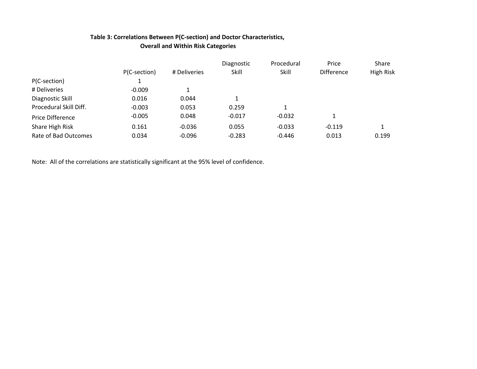### **Table 3: Correlations Between P(C‐section) and Doctor Characteristics, Overall and Within Risk Categories**

|                         |              |              | Diagnostic | Procedural | Price             | Share     |
|-------------------------|--------------|--------------|------------|------------|-------------------|-----------|
|                         | P(C-section) | # Deliveries | Skill      | Skill      | <b>Difference</b> | High Risk |
| P(C-section)            |              |              |            |            |                   |           |
| # Deliveries            | $-0.009$     |              |            |            |                   |           |
| Diagnostic Skill        | 0.016        | 0.044        | 1          |            |                   |           |
| Procedural Skill Diff.  | $-0.003$     | 0.053        | 0.259      | 1          |                   |           |
| <b>Price Difference</b> | $-0.005$     | 0.048        | $-0.017$   | $-0.032$   |                   |           |
| Share High Risk         | 0.161        | $-0.036$     | 0.055      | $-0.033$   | $-0.119$          |           |
| Rate of Bad Outcomes    | 0.034        | $-0.096$     | $-0.283$   | $-0.446$   | 0.013             | 0.199     |

Note: All of the correlations are statistically significant at the 95% level of confidence.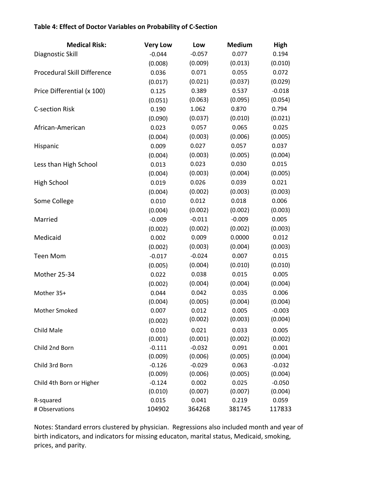## **Table 4: Effect of Doctor Variables on Probability of C‐Section**

| <b>Medical Risk:</b>        | <b>Very Low</b> | Low      | <b>Medium</b> | High     |
|-----------------------------|-----------------|----------|---------------|----------|
| Diagnostic Skill            | $-0.044$        | $-0.057$ | 0.077         | 0.194    |
|                             | (0.008)         | (0.009)  | (0.013)       | (0.010)  |
| Procedural Skill Difference | 0.036           | 0.071    | 0.055         | 0.072    |
|                             | (0.017)         | (0.021)  | (0.037)       | (0.029)  |
| Price Differential (x 100)  | 0.125           | 0.389    | 0.537         | $-0.018$ |
|                             | (0.051)         | (0.063)  | (0.095)       | (0.054)  |
| <b>C-section Risk</b>       | 0.190           | 1.062    | 0.870         | 0.794    |
|                             | (0.090)         | (0.037)  | (0.010)       | (0.021)  |
| African-American            | 0.023           | 0.057    | 0.065         | 0.025    |
|                             | (0.004)         | (0.003)  | (0.006)       | (0.005)  |
| Hispanic                    | 0.009           | 0.027    | 0.057         | 0.037    |
|                             | (0.004)         | (0.003)  | (0.005)       | (0.004)  |
| Less than High School       | 0.013           | 0.023    | 0.030         | 0.015    |
|                             | (0.004)         | (0.003)  | (0.004)       | (0.005)  |
| High School                 | 0.019           | 0.026    | 0.039         | 0.021    |
|                             | (0.004)         | (0.002)  | (0.003)       | (0.003)  |
| Some College                | 0.010           | 0.012    | 0.018         | 0.006    |
|                             | (0.004)         | (0.002)  | (0.002)       | (0.003)  |
| Married                     | $-0.009$        | $-0.011$ | $-0.009$      | 0.005    |
|                             | (0.002)         | (0.002)  | (0.002)       | (0.003)  |
| Medicaid                    | 0.002           | 0.009    | 0.0000        | 0.012    |
|                             | (0.002)         | (0.003)  | (0.004)       | (0.003)  |
| <b>Teen Mom</b>             | $-0.017$        | $-0.024$ | 0.007         | 0.015    |
|                             | (0.005)         | (0.004)  | (0.010)       | (0.010)  |
| Mother 25-34                | 0.022           | 0.038    | 0.015         | 0.005    |
|                             | (0.002)         | (0.004)  | (0.004)       | (0.004)  |
| Mother 35+                  | 0.044           | 0.042    | 0.035         | 0.006    |
|                             | (0.004)         | (0.005)  | (0.004)       | (0.004)  |
| Mother Smoked               | 0.007           | 0.012    | 0.005         | $-0.003$ |
|                             | (0.002)         | (0.002)  | (0.003)       | (0.004)  |
| Child Male                  | 0.010           | 0.021    | 0.033         | 0.005    |
|                             | (0.001)         | (0.001)  | (0.002)       | (0.002)  |
| Child 2nd Born              | $-0.111$        | $-0.032$ | 0.091         | 0.001    |
|                             | (0.009)         | (0.006)  | (0.005)       | (0.004)  |
| Child 3rd Born              | $-0.126$        | $-0.029$ | 0.063         | $-0.032$ |
|                             | (0.009)         | (0.006)  | (0.005)       | (0.004)  |
| Child 4th Born or Higher    | $-0.124$        | 0.002    | 0.025         | $-0.050$ |
|                             | (0.010)         | (0.007)  | (0.007)       | (0.004)  |
| R-squared                   | 0.015           | 0.041    | 0.219         | 0.059    |
| # Observations              | 104902          | 364268   | 381745        | 117833   |

Notes: Standard errors clustered by physician. Regressions also included month and year of birth indicators, and indicators for missing educaton, marital status, Medicaid, smoking, prices, and parity.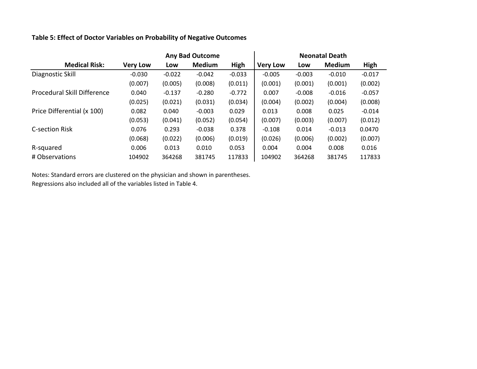#### **Table 5: Effect of Doctor Variables on Probability of Negative Outcomes**

|                             |                 | <b>Any Bad Outcome</b> |               |          | <b>Neonatal Death</b> |          |               |          |  |
|-----------------------------|-----------------|------------------------|---------------|----------|-----------------------|----------|---------------|----------|--|
| <b>Medical Risk:</b>        | <b>Very Low</b> | Low                    | <b>Medium</b> | High     | <b>Very Low</b>       | Low      | <b>Medium</b> | High     |  |
| Diagnostic Skill            | $-0.030$        | $-0.022$               | $-0.042$      | $-0.033$ | $-0.005$              | $-0.003$ | $-0.010$      | $-0.017$ |  |
|                             | (0.007)         | (0.005)                | (0.008)       | (0.011)  | (0.001)               | (0.001)  | (0.001)       | (0.002)  |  |
| Procedural Skill Difference | 0.040           | $-0.137$               | $-0.280$      | $-0.772$ | 0.007                 | $-0.008$ | $-0.016$      | $-0.057$ |  |
|                             | (0.025)         | (0.021)                | (0.031)       | (0.034)  | (0.004)               | (0.002)  | (0.004)       | (0.008)  |  |
| Price Differential (x 100)  | 0.082           | 0.040                  | $-0.003$      | 0.029    | 0.013                 | 0.008    | 0.025         | $-0.014$ |  |
|                             | (0.053)         | (0.041)                | (0.052)       | (0.054)  | (0.007)               | (0.003)  | (0.007)       | (0.012)  |  |
| <b>C-section Risk</b>       | 0.076           | 0.293                  | $-0.038$      | 0.378    | $-0.108$              | 0.014    | $-0.013$      | 0.0470   |  |
|                             | (0.068)         | (0.022)                | (0.006)       | (0.019)  | (0.026)               | (0.006)  | (0.002)       | (0.007)  |  |
| R-squared                   | 0.006           | 0.013                  | 0.010         | 0.053    | 0.004                 | 0.004    | 0.008         | 0.016    |  |
| # Observations              | 104902          | 364268                 | 381745        | 117833   | 104902                | 364268   | 381745        | 117833   |  |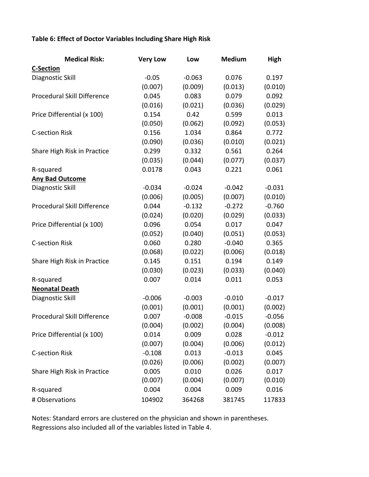## **Table 6: Effect of Doctor Variables Including Share High Risk**

| <b>Medical Risk:</b>        | <b>Very Low</b> | Low      | <b>Medium</b> | High     |  |
|-----------------------------|-----------------|----------|---------------|----------|--|
| <b>C-Section</b>            |                 |          |               |          |  |
| Diagnostic Skill            | $-0.05$         | $-0.063$ | 0.076         | 0.197    |  |
|                             | (0.007)         | (0.009)  | (0.013)       | (0.010)  |  |
| Procedural Skill Difference | 0.045           | 0.083    | 0.079         | 0.092    |  |
|                             | (0.016)         | (0.021)  | (0.036)       | (0.029)  |  |
| Price Differential (x 100)  | 0.154           | 0.42     | 0.599         | 0.013    |  |
|                             | (0.050)         | (0.062)  | (0.092)       | (0.053)  |  |
| <b>C-section Risk</b>       | 0.156           | 1.034    | 0.864         | 0.772    |  |
|                             | (0.090)         | (0.036)  | (0.010)       | (0.021)  |  |
| Share High Risk in Practice | 0.299           | 0.332    | 0.561         | 0.264    |  |
|                             | (0.035)         | (0.044)  | (0.077)       | (0.037)  |  |
| R-squared                   | 0.0178          | 0.043    | 0.221         | 0.061    |  |
| <b>Any Bad Outcome</b>      |                 |          |               |          |  |
| Diagnostic Skill            | $-0.034$        | $-0.024$ | $-0.042$      | $-0.031$ |  |
|                             | (0.006)         | (0.005)  | (0.007)       | (0.010)  |  |
| Procedural Skill Difference | 0.044           | $-0.132$ | $-0.272$      | $-0.760$ |  |
|                             | (0.024)         | (0.020)  | (0.029)       | (0.033)  |  |
| Price Differential (x 100)  | 0.096           | 0.054    | 0.017         | 0.047    |  |
|                             | (0.052)         | (0.040)  | (0.051)       | (0.053)  |  |
| <b>C-section Risk</b>       | 0.060           | 0.280    | $-0.040$      | 0.365    |  |
|                             | (0.068)         | (0.022)  | (0.006)       | (0.018)  |  |
| Share High Risk in Practice | 0.145           | 0.151    | 0.194         | 0.149    |  |
|                             | (0.030)         | (0.023)  | (0.033)       | (0.040)  |  |
| R-squared                   | 0.007           | 0.014    | 0.011         | 0.053    |  |
| <b>Neonatal Death</b>       |                 |          |               |          |  |
| Diagnostic Skill            | $-0.006$        | $-0.003$ | $-0.010$      | $-0.017$ |  |
|                             | (0.001)         | (0.001)  | (0.001)       | (0.002)  |  |
| Procedural Skill Difference | 0.007           | $-0.008$ | $-0.015$      | $-0.056$ |  |
|                             | (0.004)         | (0.002)  | (0.004)       | (0.008)  |  |
| Price Differential (x 100)  | 0.014           | 0.009    | 0.028         | $-0.012$ |  |
|                             | (0.007)         | (0.004)  | (0.006)       | (0.012)  |  |
| <b>C-section Risk</b>       | $-0.108$        | 0.013    | $-0.013$      | 0.045    |  |
|                             | (0.026)         | (0.006)  | (0.002)       | (0.007)  |  |
| Share High Risk in Practice | 0.005           | 0.010    | 0.026         | 0.017    |  |
|                             | (0.007)         | (0.004)  | (0.007)       | (0.010)  |  |
| R-squared                   | 0.004           | 0.004    | 0.009         | 0.016    |  |
| # Observations              | 104902          | 364268   | 381745        | 117833   |  |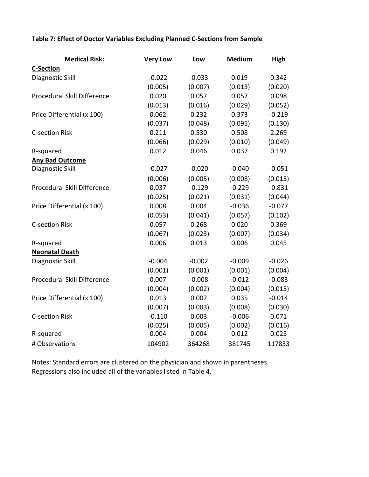## **Table 7: Effect of Doctor Variables Excluding Planned C‐Sections from Sample**

| <b>Medical Risk:</b>        | <b>Very Low</b> | Low      | <b>Medium</b> | High     |
|-----------------------------|-----------------|----------|---------------|----------|
| <b>C-Section</b>            |                 |          |               |          |
| Diagnostic Skill            | $-0.022$        | $-0.033$ | 0.019         | 0.342    |
|                             | (0.005)         | (0.007)  | (0.013)       | (0.020)  |
| Procedural Skill Difference | 0.020           | 0.057    | 0.057         | 0.098    |
|                             | (0.013)         | (0.016)  | (0.029)       | (0.052)  |
| Price Differential (x 100)  | 0.062           | 0.232    | 0.373         | $-0.219$ |
|                             | (0.037)         | (0.048)  | (0.095)       | (0.130)  |
| <b>C-section Risk</b>       | 0.211           | 0.530    | 0.508         | 2.269    |
|                             | (0.066)         | (0.029)  | (0.010)       | (0.049)  |
| R-squared                   | 0.012           | 0.046    | 0.037         | 0.192    |
| <b>Any Bad Outcome</b>      |                 |          |               |          |
| Diagnostic Skill            | $-0.027$        | $-0.020$ | $-0.040$      | $-0.051$ |
|                             | (0.006)         | (0.005)  | (0.008)       | (0.015)  |
| Procedural Skill Difference | 0.037           | $-0.129$ | $-0.229$      | $-0.831$ |
|                             | (0.025)         | (0.021)  | (0.031)       | (0.044)  |
| Price Differential (x 100)  | 0.008           | 0.004    | $-0.036$      | $-0.077$ |
|                             | (0.053)         | (0.041)  | (0.057)       | (0.102)  |
| <b>C-section Risk</b>       | 0.057           | 0.268    | 0.020         | 0.369    |
|                             | (0.067)         | (0.023)  | (0.007)       | (0.034)  |
| R-squared                   | 0.006           | 0.013    | 0.006         | 0.045    |
| <b>Neonatal Death</b>       |                 |          |               |          |
| Diagnostic Skill            | $-0.004$        | $-0.002$ | $-0.009$      | $-0.026$ |
|                             | (0.001)         | (0.001)  | (0.001)       | (0.004)  |
| Procedural Skill Difference | 0.007           | $-0.008$ | $-0.012$      | $-0.083$ |
|                             | (0.004)         | (0.002)  | (0.004)       | (0.015)  |
| Price Differential (x 100)  | 0.013           | 0.007    | 0.035         | $-0.014$ |
|                             | (0.007)         | (0.003)  | (0.008)       | (0.030)  |
| <b>C-section Risk</b>       | $-0.110$        | 0.003    | $-0.006$      | 0.071    |
|                             | (0.025)         | (0.005)  | (0.002)       | (0.016)  |
| R-squared                   | 0.004           | 0.004    | 0.012         | 0.025    |
| # Observations              | 104902          | 364268   | 381745        | 117833   |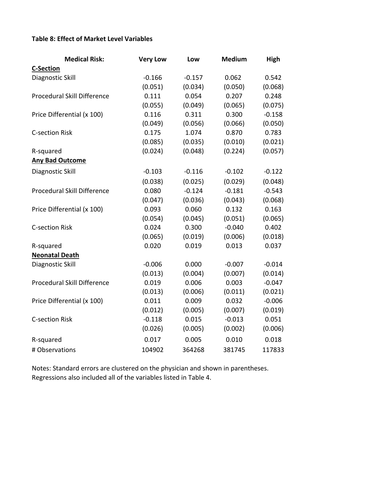## **Table 8: Effect of Market Level Variables**

| <b>Medical Risk:</b>        | <b>Very Low</b> | Low      | <b>Medium</b> | High     |
|-----------------------------|-----------------|----------|---------------|----------|
| <b>C-Section</b>            |                 |          |               |          |
| Diagnostic Skill            | $-0.166$        | $-0.157$ | 0.062         | 0.542    |
|                             | (0.051)         | (0.034)  | (0.050)       | (0.068)  |
| Procedural Skill Difference | 0.111           | 0.054    | 0.207         | 0.248    |
|                             | (0.055)         | (0.049)  | (0.065)       | (0.075)  |
| Price Differential (x 100)  | 0.116           | 0.311    | 0.300         | $-0.158$ |
|                             | (0.049)         | (0.056)  | (0.066)       | (0.050)  |
| <b>C-section Risk</b>       | 0.175           | 1.074    | 0.870         | 0.783    |
|                             | (0.085)         | (0.035)  | (0.010)       | (0.021)  |
| R-squared                   | (0.024)         | (0.048)  | (0.224)       | (0.057)  |
| <b>Any Bad Outcome</b>      |                 |          |               |          |
| Diagnostic Skill            | $-0.103$        | $-0.116$ | $-0.102$      | $-0.122$ |
|                             | (0.038)         | (0.025)  | (0.029)       | (0.048)  |
| Procedural Skill Difference | 0.080           | $-0.124$ | $-0.181$      | $-0.543$ |
|                             | (0.047)         | (0.036)  | (0.043)       | (0.068)  |
| Price Differential (x 100)  | 0.093           | 0.060    | 0.132         | 0.163    |
|                             | (0.054)         | (0.045)  | (0.051)       | (0.065)  |
| <b>C-section Risk</b>       | 0.024           | 0.300    | $-0.040$      | 0.402    |
|                             | (0.065)         | (0.019)  | (0.006)       | (0.018)  |
| R-squared                   | 0.020           | 0.019    | 0.013         | 0.037    |
| <b>Neonatal Death</b>       |                 |          |               |          |
| Diagnostic Skill            | $-0.006$        | 0.000    | $-0.007$      | $-0.014$ |
|                             | (0.013)         | (0.004)  | (0.007)       | (0.014)  |
| Procedural Skill Difference | 0.019           | 0.006    | 0.003         | $-0.047$ |
|                             | (0.013)         | (0.006)  | (0.011)       | (0.021)  |
| Price Differential (x 100)  | 0.011           | 0.009    | 0.032         | $-0.006$ |
|                             | (0.012)         | (0.005)  | (0.007)       | (0.019)  |
| <b>C-section Risk</b>       | $-0.118$        | 0.015    | $-0.013$      | 0.051    |
|                             | (0.026)         | (0.005)  | (0.002)       | (0.006)  |
| R-squared                   | 0.017           | 0.005    | 0.010         | 0.018    |
| # Observations              | 104902          | 364268   | 381745        | 117833   |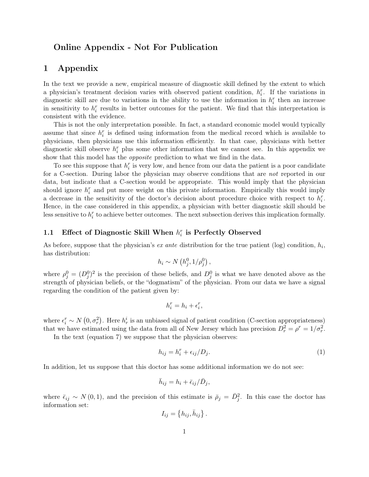## Online Appendix - Not For Publication

### 1 Appendix

In the text we provide a new, empirical measure of diagnostic skill defined by the extent to which a physician's treatment decision varies with observed patient condition,  $h_i^r$ . If the variations in diagnostic skill are due to variations in the ability to use the information in  $h_i^r$  then an increase in sensitivity to  $h_i^r$  results in better outcomes for the patient. We find that this interpretation is consistent with the evidence.

This is not the only interpretation possible. In fact, a standard economic model would typically assume that since  $h_i^r$  is defined using information from the medical record which is available to physicians, then physicians use this information efficiently. In that case, physicians with better diagnostic skill observe  $h_i^r$  plus some other information that we cannot see. In this appendix we show that this model has the *opposite* prediction to what we find in the data.

To see this suppose that  $h_i^r$  is very low, and hence from our data the patient is a poor candidate for a C-section. During labor the physician may observe conditions that are *not* reported in our data, but indicate that a C-section would be appropriate. This would imply that the physician should ignore  $h_i^r$  and put more weight on this private information. Empirically this would imply a decrease in the sensitivity of the doctor's decision about procedure choice with respect to  $h_i^r$ . Hence, in the case considered in this appendix, a physician with better diagnostic skill should be less sensitive to  $h_i^r$  to achieve better outcomes. The next subsection derives this implication formally.

## 1.1 Effect of Diagnostic Skill When  $h_i^r$  is Perfectly Observed

As before, suppose that the physician's *ex ante* distribution for the true patient (log) condition,  $h_i$ , has distribution:

$$
h_i \sim N\left(h_j^0, 1/\rho_j^0\right),\,
$$

where  $\rho_j^0 = (D_j^0)^2$  is the precision of these beliefs, and  $D_j^0$  is what we have denoted above as the strength of physician beliefs, or the "dogmatism" of the physician. From our data we have a signal regarding the condition of the patient given by:

$$
h_i^r = h_i + \epsilon_i^r,
$$

where  $\epsilon_i^r \sim N(0, \sigma_r^2)$ . Here  $h_r^i$  is an unbiased signal of patient condition (C-section appropriateness) that we have estimated using the data from all of New Jersey which has precision  $D_r^2 = \rho^r = 1/\sigma_r^2$ .

In the text (equation 7) we suppose that the physician observes:

$$
h_{ij} = h_i^r + \epsilon_{ij}/D_j.
$$
 (1)

In addition, let us suppose that this doctor has some additional information we do not see:

$$
\bar{h}_{ij} = h_i + \bar{\epsilon}_{ij} / \bar{D}_j,
$$

where  $\bar{\epsilon}_{ij} \sim N(0,1)$ , and the precision of this estimate is  $\bar{\rho}_j = \bar{D}_j^2$ . In this case the doctor has information set:

$$
I_{ij} = \{h_{ij}, \bar{h}_{ij}\}.
$$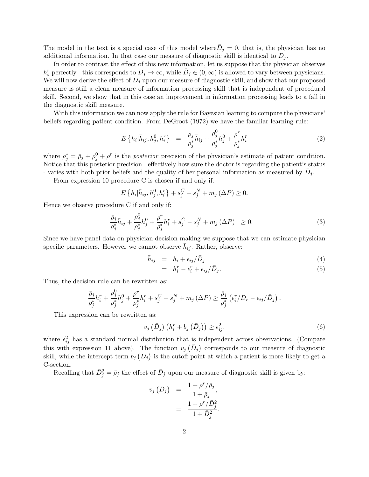The model in the text is a special case of this model where  $\bar{D}_j = 0$ , that is, the physician has no additional information. In that case our measure of diagnostic skill is identical to  $D_i$ .

In order to contrast the effect of this new information, let us suppose that the physician observes  $h_i^r$  perfectly - this corresponds to  $D_j \to \infty$ , while  $\bar{D}_j \in (0, \infty)$  is allowed to vary between physicians. We will now derive the effect of  $\bar{D}_j$  upon our measure of diagnostic skill, and show that our proposed measure is still a clean measure of information processing skill that is independent of procedural skill. Second, we show that in this case an improvement in information processing leads to a fall in the diagnostic skill measure.

With this information we can now apply the rule for Bayesian learning to compute the physicians' beliefs regarding patient condition. From DeGroot (1972) we have the familiar learning rule:

$$
E\left\{h_i|\bar{h}_{ij}, h_j^0, h_i^r\right\} = \frac{\bar{\rho}_j}{\rho_j^*}\bar{h}_{ij} + \frac{\rho_j^0}{\rho_j^*}h_j^0 + \frac{\rho^r}{\rho_j^*}h_i^r
$$
\n(2)

where  $\rho_j^* = \bar{\rho}_j + \rho_j^0 + \rho^r$  is the posterior precision of the physician's estimate of patient condition. Notice that this posterior precision - effectively how sure the doctor is regarding the patient's status - varies with both prior beliefs and the quality of her personal information as measured by  $\bar{D}_j$ .

From expression 10 procedure C is chosen if and only if:

$$
E\left\{h_i|\bar{h}_{ij}, h_j^0, h_i^r\right\} + s_j^C - s_j^N + m_j\left(\Delta P\right) \ge 0.
$$

Hence we observe procedure C if and only if:

$$
\frac{\bar{\rho}_j}{\rho_j^*} \bar{h}_{ij} + \frac{\rho_j^0}{\rho_j^*} h_j^0 + \frac{\rho^r}{\rho_j^*} h_i^r + s_j^C - s_j^N + m_j \left(\Delta P\right) \ge 0. \tag{3}
$$

Since we have panel data on physician decision making we suppose that we can estimate physician specific parameters. However we cannot observe  $\bar{h}_{ij}$ . Rather, observe:

$$
\bar{h}_{ij} = h_i + \epsilon_{ij}/\bar{D}_j \tag{4}
$$

$$
= h_i^r - \epsilon_i^r + \epsilon_{ij}/\bar{D}_j. \tag{5}
$$

Thus, the decision rule can be rewritten as:

$$
\frac{\bar{\rho}_j}{\rho_j^*}h_i^r + \frac{\rho_j^0}{\rho_j^*}h_j^0 + \frac{\rho^r}{\rho_j^*}h_i^r + s_j^C - s_j^N + m_j(\Delta P) \ge \frac{\bar{\rho}_j}{\rho_j^*} \left(\epsilon_i^r/D_r - \epsilon_{ij}/\bar{D}_j\right).
$$

This expression can be rewritten as:

$$
v_j\left(\bar{D}_j\right)\left(h_i^r + b_j\left(\bar{D}_j\right)\right) \ge \epsilon_{ij}^2,\tag{6}
$$

where  $\epsilon_{ij}^2$  has a standard normal distribution that is independent across observations. (Compare this with expression 11 above). The function  $v_j(\bar{D}_j)$  corresponds to our measure of diagnostic skill, while the intercept term  $b_j(\bar{D}_j)$  is the cutoff point at which a patient is more likely to get a C-section.

Recalling that  $\bar{D}_j^2 = \bar{\rho}_j$  the effect of  $\bar{D}_j$  upon our measure of diagnostic skill is given by:

$$
v_j\left(\bar{D}_j\right) = \frac{1+\rho^r/\bar{\rho}_j}{1+\bar{\rho}_j},
$$
  
= 
$$
\frac{1+\rho^r/\bar{D}_j^2}{1+\bar{D}_j^2}.
$$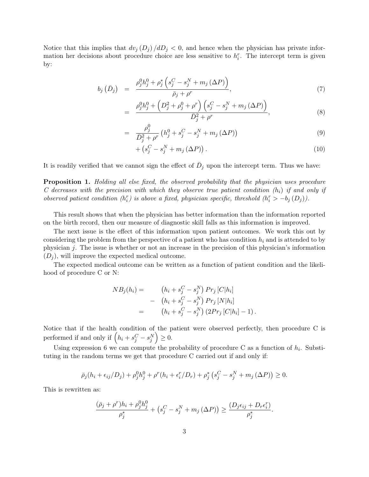Notice that this implies that  $dv_j (D_j) / dD_j < 0$ , and hence when the physician has private information her decisions about procedure choice are less sensitive to  $h_i^r$ . The intercept term is given by:

$$
b_j\left(\bar{D}_j\right) = \frac{\rho_j^0 h_j^0 + \rho_j^* \left(s_j^C - s_j^N + m_j\left(\Delta P\right)\right)}{\bar{\rho}_j + \rho^r},\tag{7}
$$

$$
= \frac{\rho_j^0 h_j^0 + \left( D_j^2 + \rho_j^0 + \rho^r \right) \left( s_j^C - s_j^N + m_j \left( \Delta P \right) \right)}{\bar{D}_j^2 + \rho^r}, \tag{8}
$$

$$
= \frac{\rho_j^0}{\bar{D}_j^2 + \rho^r} \left( h_j^0 + s_j^C - s_j^N + m_j \left( \Delta P \right) \right) \tag{9}
$$

$$
+\left(s_j^C - s_j^N + m_j\left(\Delta P\right)\right). \tag{10}
$$

It is readily verified that we cannot sign the effect of  $\bar{D}_j$  upon the intercept term. Thus we have:

Proposition 1. Holding all else fixed, the observed probability that the physician uses procedure C decreases with the precision with which they observe true patient condition  $(h_i)$  if and only if observed patient condition  $(h_i^r)$  is above a fixed, physician specific, threshold  $(h_i^r > -b_j (D_j))$ .

This result shows that when the physician has better information than the information reported on the birth record, then our measure of diagnostic skill falls as this information is improved.

The next issue is the effect of this information upon patient outcomes. We work this out by considering the problem from the perspective of a patient who has condition  $h_i$  and is attended to by physician j. The issue is whether or not an increase in the precision of this physician's information  $(D_i)$ , will improve the expected medical outcome.

The expected medical outcome can be written as a function of patient condition and the likelihood of procedure C or N:

$$
NB_j(h_i) = \n\begin{aligned}\n(h_i + s_j^C - s_j^N) \Pr_j [C|h_i] \\
-(h_i + s_j^C - s_j^N) \Pr_j [N|h_i] \\
= \n\begin{aligned}\n(h_i + s_j^C - s_j^N) \left(2 \Pr_j [C|h_i] - 1\right).\n\end{aligned}\n\end{aligned}
$$

Notice that if the health condition of the patient were observed perfectly, then procedure C is performed if and only if  $(h_i + s_j^C - s_j^N) \geq 0$ .

Using expression 6 we can compute the probability of procedure C as a function of  $h_i$ . Substituting in the random terms we get that procedure C carried out if and only if:

$$
\bar{\rho}_j(h_i + \epsilon_{ij}/D_j) + \rho_j^0 h_j^0 + \rho^r(h_i + \epsilon_i^r/D_r) + \rho_j^* (s_j^C - s_j^N + m_j (\Delta P)) \ge 0.
$$

This is rewritten as:

$$
\frac{(\bar{\rho}_j+\rho^r)h_i+\rho_j^0h_j^0}{\rho_j^*}+\left(s_j^C-s_j^N+m_j\left(\Delta P\right)\right)\geq \frac{(D_j\epsilon_{ij}+D_r\epsilon_i^r)}{\rho_j^*}.
$$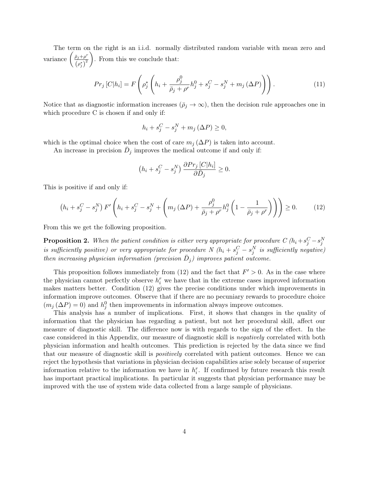The term on the right is an i.i.d. normally distributed random variable with mean zero and variance  $\left(\frac{\bar{\rho}_j+\rho^r}{\frac{1}{r}+2}\right)$  $\left(\rho_j^*\right)^2$ . From this we conclude that:

$$
Pr_j\left[C|h_i\right] = F\left(\rho_j^* \left(h_i + \frac{\rho_j^0}{\bar{\rho}_j + \rho^r}h_j^0 + s_j^C - s_j^N + m_j\left(\Delta P\right)\right)\right). \tag{11}
$$

Notice that as diagnostic information increases  $(\bar{\rho}_j \to \infty)$ , then the decision rule approaches one in which procedure C is chosen if and only if:

$$
h_i + s_j^C - s_j^N + m_j \left(\Delta P\right) \ge 0,
$$

which is the optimal choice when the cost of care  $m_i (\Delta P)$  is taken into account.

An increase in precision  $\bar{D}_j$  improves the medical outcome if and only if:

$$
(h_i + s_j^C - s_j^N) \frac{\partial Pr_j[C|h_i]}{\partial \bar{D}_j} \ge 0.
$$

This is positive if and only if:

$$
\left(h_i + s_j^C - s_j^N\right) F'\left(h_i + s_j^C - s_j^N + \left(m_j\left(\Delta P\right) + \frac{\rho_j^0}{\bar{\rho}_j + \rho^r} h_j^0\left(1 - \frac{1}{\bar{\rho}_j + \rho^r}\right)\right)\right) \ge 0. \tag{12}
$$

From this we get the following proposition.

**Proposition 2.** When the patient condition is either very appropriate for procedure  $C(h_i + s_j^C - s_j^N)$ is sufficiently positive) or very appropriate for procedure N  $(h_i + s_j^C - s_j^N)$  is sufficiently negative) then increasing physician information (precision  $\bar{D}_j$ ) improves patient outcome.

This proposition follows immediately from (12) and the fact that  $F' > 0$ . As in the case where the physician cannot perfectly observe  $h_i^r$  we have that in the extreme cases improved information makes matters better. Condition (12) gives the precise conditions under which improvements in information improve outcomes. Observe that if there are no pecuniary rewards to procedure choice  $(m_j (\Delta P) = 0)$  and  $h_j^0$  then improvements in information always improve outcomes.

This analysis has a number of implications. First, it shows that changes in the quality of information that the physician has regarding a patient, but not her procedural skill, affect our measure of diagnostic skill. The difference now is with regards to the sign of the effect. In the case considered in this Appendix, our measure of diagnostic skill is negatively correlated with both physician information and health outcomes. This prediction is rejected by the data since we find that our measure of diagnostic skill is *positively* correlated with patient outcomes. Hence we can reject the hypothesis that variations in physician decision capabilities arise solely because of superior information relative to the information we have in  $h_i^r$ . If confirmed by future research this result has important practical implications. In particular it suggests that physician performance may be improved with the use of system wide data collected from a large sample of physicians.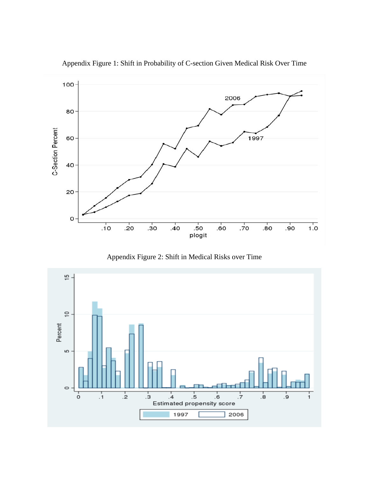

Appendix Figure 1: Shift in Probability of C-section Given Medical Risk Over Time

Appendix Figure 2: Shift in Medical Risks over Time

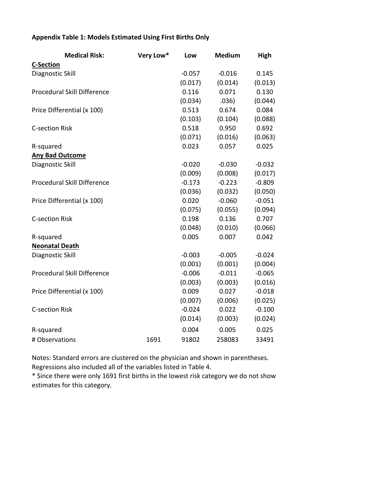## **Appendix Table 1: Models Estimated Using First Births Only**

| <b>Medical Risk:</b>        | Very Low* | Low      | <b>Medium</b> | High     |
|-----------------------------|-----------|----------|---------------|----------|
| <b>C-Section</b>            |           |          |               |          |
| Diagnostic Skill            |           | $-0.057$ | $-0.016$      | 0.145    |
|                             |           | (0.017)  | (0.014)       | (0.013)  |
| Procedural Skill Difference |           | 0.116    | 0.071         | 0.130    |
|                             |           | (0.034)  | .036)         | (0.044)  |
| Price Differential (x 100)  |           | 0.513    | 0.674         | 0.084    |
|                             |           | (0.103)  | (0.104)       | (0.088)  |
| <b>C-section Risk</b>       |           | 0.518    | 0.950         | 0.692    |
|                             |           | (0.071)  | (0.016)       | (0.063)  |
| R-squared                   |           | 0.023    | 0.057         | 0.025    |
| <b>Any Bad Outcome</b>      |           |          |               |          |
| Diagnostic Skill            |           | $-0.020$ | $-0.030$      | $-0.032$ |
|                             |           | (0.009)  | (0.008)       | (0.017)  |
| Procedural Skill Difference |           | $-0.173$ | $-0.223$      | $-0.809$ |
|                             |           | (0.036)  | (0.032)       | (0.050)  |
| Price Differential (x 100)  |           | 0.020    | $-0.060$      | $-0.051$ |
|                             |           | (0.075)  | (0.055)       | (0.094)  |
| <b>C-section Risk</b>       |           | 0.198    | 0.136         | 0.707    |
|                             |           | (0.048)  | (0.010)       | (0.066)  |
| R-squared                   |           | 0.005    | 0.007         | 0.042    |
| <b>Neonatal Death</b>       |           |          |               |          |
| Diagnostic Skill            |           | $-0.003$ | $-0.005$      | $-0.024$ |
|                             |           | (0.001)  | (0.001)       | (0.004)  |
| Procedural Skill Difference |           | $-0.006$ | $-0.011$      | $-0.065$ |
|                             |           | (0.003)  | (0.003)       | (0.016)  |
| Price Differential (x 100)  |           | 0.009    | 0.027         | $-0.018$ |
|                             |           | (0.007)  | (0.006)       | (0.025)  |
| <b>C-section Risk</b>       |           | $-0.024$ | 0.022         | $-0.100$ |
|                             |           | (0.014)  | (0.003)       | (0.024)  |
| R-squared                   |           | 0.004    | 0.005         | 0.025    |
| # Observations              | 1691      | 91802    | 258083        | 33491    |

Notes: Standard errors are clustered on the physician and shown in parentheses. Regressions also included all of the variables listed in Table 4.

\* Since there were only 1691 first births in the lowest risk category we do not show estimates for this category.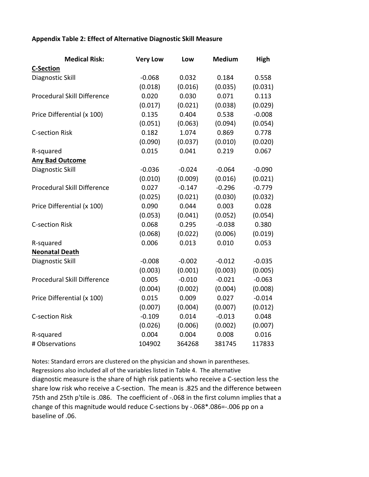### **Appendix Table 2: Effect of Alternative Diagnostic Skill Measure**

| <b>Medical Risk:</b>        | <b>Very Low</b> | Low      | <b>Medium</b> | High     |  |
|-----------------------------|-----------------|----------|---------------|----------|--|
| <b>C-Section</b>            |                 |          |               |          |  |
| Diagnostic Skill            | $-0.068$        | 0.032    | 0.184         | 0.558    |  |
|                             | (0.018)         | (0.016)  | (0.035)       | (0.031)  |  |
| Procedural Skill Difference | 0.020           | 0.030    | 0.071         | 0.113    |  |
|                             | (0.017)         | (0.021)  | (0.038)       | (0.029)  |  |
| Price Differential (x 100)  | 0.135           | 0.404    | 0.538         | $-0.008$ |  |
|                             | (0.051)         | (0.063)  | (0.094)       | (0.054)  |  |
| <b>C-section Risk</b>       | 0.182           | 1.074    | 0.869         | 0.778    |  |
|                             | (0.090)         | (0.037)  | (0.010)       | (0.020)  |  |
| R-squared                   | 0.015           | 0.041    | 0.219         | 0.067    |  |
| <b>Any Bad Outcome</b>      |                 |          |               |          |  |
| Diagnostic Skill            | $-0.036$        | $-0.024$ | $-0.064$      | $-0.090$ |  |
|                             | (0.010)         | (0.009)  | (0.016)       | (0.021)  |  |
| Procedural Skill Difference | 0.027           | $-0.147$ | $-0.296$      | $-0.779$ |  |
|                             | (0.025)         | (0.021)  | (0.030)       | (0.032)  |  |
| Price Differential (x 100)  | 0.090           | 0.044    | 0.003         | 0.028    |  |
|                             | (0.053)         | (0.041)  | (0.052)       | (0.054)  |  |
| <b>C-section Risk</b>       | 0.068           | 0.295    | $-0.038$      | 0.380    |  |
|                             | (0.068)         | (0.022)  | (0.006)       | (0.019)  |  |
| R-squared                   | 0.006           | 0.013    | 0.010         | 0.053    |  |
| <b>Neonatal Death</b>       |                 |          |               |          |  |
| Diagnostic Skill            | $-0.008$        | $-0.002$ | $-0.012$      | $-0.035$ |  |
|                             | (0.003)         | (0.001)  | (0.003)       | (0.005)  |  |
| Procedural Skill Difference | 0.005           | $-0.010$ | $-0.021$      | $-0.063$ |  |
|                             | (0.004)         | (0.002)  | (0.004)       | (0.008)  |  |
| Price Differential (x 100)  | 0.015           | 0.009    | 0.027         | $-0.014$ |  |
|                             | (0.007)         | (0.004)  | (0.007)       | (0.012)  |  |
| <b>C-section Risk</b>       | $-0.109$        | 0.014    | $-0.013$      | 0.048    |  |
|                             | (0.026)         | (0.006)  | (0.002)       | (0.007)  |  |
| R-squared                   | 0.004           | 0.004    | 0.008         | 0.016    |  |
| # Observations              | 104902          | 364268   | 381745        | 117833   |  |

Notes: Standard errors are clustered on the physician and shown in parentheses. Regressions also included all of the variables listed in Table 4. The alternative diagnostic measure is the share of high risk patients who receive a C‐section less the share low risk who receive a C‐section. The mean is .825 and the difference between 75th and 25th p'tile is .086. The coefficient of -.068 in the first column implies that a change of this magnitude would reduce C‐sections by ‐.068\*.086=‐.006 pp on a baseline of .06.